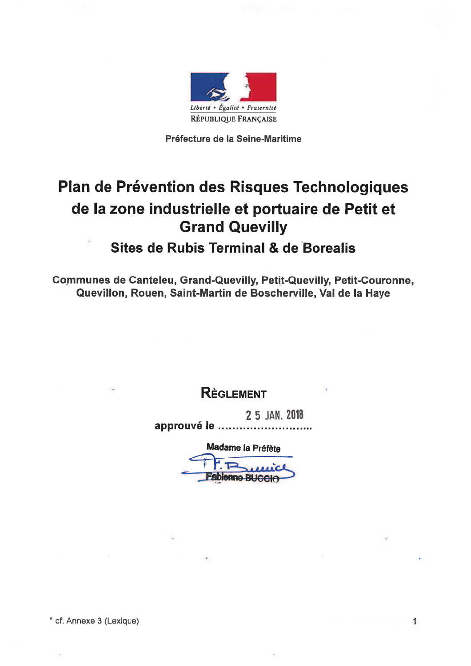

Préfecture de la Seine-Maritime

# Plan de Prévention des Risques Technologiques de la zone industrielle et portuaire de Petit et **Grand Quevilly**

## Sites de Rubis Terminal & de Borealis

**Communes de Canteleu, Grand-Quevilly, Petit-Quevilly, Petit-Couronne,** Quevillon, Rouen, Saint-Martin de Boscherville, Val de la Haye

## **REGLEMENT**

2 5 JAN. 2018 approuvé le .......

Madame la Préfète

1

**Fablenne BUCCIO** 

° cf. Annexe 3 (Lexique)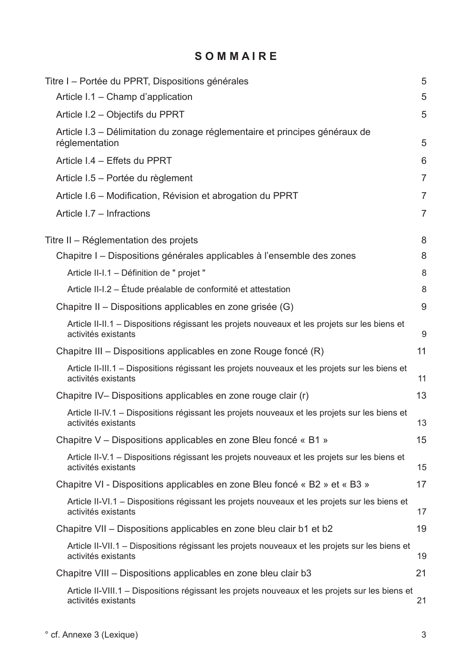## SOMMAIRE

|                                                                                                                        | 5              |
|------------------------------------------------------------------------------------------------------------------------|----------------|
| Titre I – Portée du PPRT, Dispositions générales<br>Article I.1 - Champ d'application                                  | 5              |
| Article I.2 - Objectifs du PPRT                                                                                        | 5              |
|                                                                                                                        |                |
| Article I.3 – Délimitation du zonage réglementaire et principes généraux de<br>réglementation                          | 5              |
| Article I.4 - Effets du PPRT                                                                                           | 6              |
| Article I.5 – Portée du règlement                                                                                      | $\overline{7}$ |
| Article I.6 – Modification, Révision et abrogation du PPRT                                                             | 7              |
| Article I.7 - Infractions                                                                                              | $\overline{7}$ |
| Titre II - Réglementation des projets                                                                                  | 8              |
| Chapitre I – Dispositions générales applicables à l'ensemble des zones                                                 | 8              |
| Article II-I.1 - Définition de " projet "                                                                              | 8              |
| Article II-I.2 – Étude préalable de conformité et attestation                                                          | 8              |
| Chapitre II – Dispositions applicables en zone grisée (G)                                                              | 9              |
| Article II-II.1 – Dispositions régissant les projets nouveaux et les projets sur les biens et<br>activités existants   | 9              |
| Chapitre III – Dispositions applicables en zone Rouge foncé (R)                                                        | 11             |
| Article II-III.1 – Dispositions régissant les projets nouveaux et les projets sur les biens et<br>activités existants  | 11             |
| Chapitre IV- Dispositions applicables en zone rouge clair (r)                                                          | 13             |
| Article II-IV.1 – Dispositions régissant les projets nouveaux et les projets sur les biens et<br>activités existants   | 13             |
| Chapitre V – Dispositions applicables en zone Bleu foncé « B1 »                                                        | 15             |
| Article II-V.1 – Dispositions régissant les projets nouveaux et les projets sur les biens et<br>activités existants    | 15             |
| Chapitre VI - Dispositions applicables en zone Bleu foncé « B2 » et « B3 »                                             | 17             |
| Article II-VI.1 – Dispositions régissant les projets nouveaux et les projets sur les biens et<br>activités existants   | 17             |
| Chapitre VII – Dispositions applicables en zone bleu clair b1 et b2                                                    | 19             |
| Article II-VII.1 – Dispositions régissant les projets nouveaux et les projets sur les biens et<br>activités existants  | 19             |
| Chapitre VIII – Dispositions applicables en zone bleu clair b3                                                         | 21             |
| Article II-VIII.1 – Dispositions régissant les projets nouveaux et les projets sur les biens et<br>activités existants | 21             |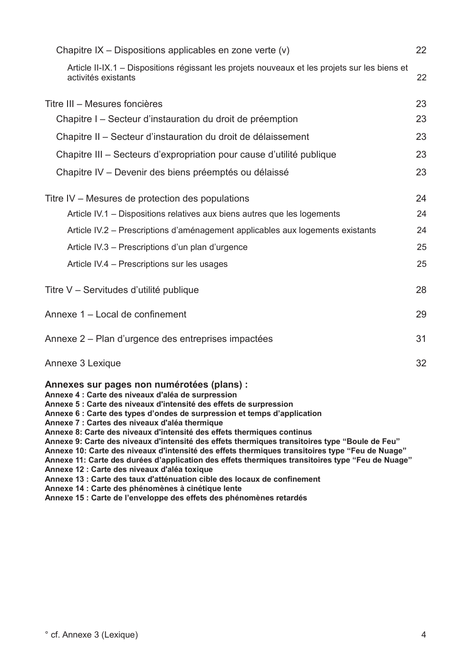| Chapitre IX – Dispositions applicables en zone verte (v)                                                                                                                                                                                                                                                                                                                                                                                                                                                                                                                                                                                                                                                                                                                                                            | 22 |
|---------------------------------------------------------------------------------------------------------------------------------------------------------------------------------------------------------------------------------------------------------------------------------------------------------------------------------------------------------------------------------------------------------------------------------------------------------------------------------------------------------------------------------------------------------------------------------------------------------------------------------------------------------------------------------------------------------------------------------------------------------------------------------------------------------------------|----|
| Article II-IX.1 – Dispositions régissant les projets nouveaux et les projets sur les biens et<br>activités existants                                                                                                                                                                                                                                                                                                                                                                                                                                                                                                                                                                                                                                                                                                | 22 |
| Titre III - Mesures foncières                                                                                                                                                                                                                                                                                                                                                                                                                                                                                                                                                                                                                                                                                                                                                                                       | 23 |
| Chapitre I – Secteur d'instauration du droit de préemption                                                                                                                                                                                                                                                                                                                                                                                                                                                                                                                                                                                                                                                                                                                                                          | 23 |
| Chapitre II - Secteur d'instauration du droit de délaissement                                                                                                                                                                                                                                                                                                                                                                                                                                                                                                                                                                                                                                                                                                                                                       | 23 |
| Chapitre III – Secteurs d'expropriation pour cause d'utilité publique                                                                                                                                                                                                                                                                                                                                                                                                                                                                                                                                                                                                                                                                                                                                               | 23 |
| Chapitre IV – Devenir des biens préemptés ou délaissé                                                                                                                                                                                                                                                                                                                                                                                                                                                                                                                                                                                                                                                                                                                                                               | 23 |
| Titre IV – Mesures de protection des populations                                                                                                                                                                                                                                                                                                                                                                                                                                                                                                                                                                                                                                                                                                                                                                    | 24 |
| Article IV.1 - Dispositions relatives aux biens autres que les logements                                                                                                                                                                                                                                                                                                                                                                                                                                                                                                                                                                                                                                                                                                                                            | 24 |
| Article IV.2 - Prescriptions d'aménagement applicables aux logements existants                                                                                                                                                                                                                                                                                                                                                                                                                                                                                                                                                                                                                                                                                                                                      | 24 |
| Article IV.3 - Prescriptions d'un plan d'urgence                                                                                                                                                                                                                                                                                                                                                                                                                                                                                                                                                                                                                                                                                                                                                                    | 25 |
| Article IV.4 - Prescriptions sur les usages                                                                                                                                                                                                                                                                                                                                                                                                                                                                                                                                                                                                                                                                                                                                                                         | 25 |
| Titre V - Servitudes d'utilité publique                                                                                                                                                                                                                                                                                                                                                                                                                                                                                                                                                                                                                                                                                                                                                                             | 28 |
| Annexe 1 - Local de confinement                                                                                                                                                                                                                                                                                                                                                                                                                                                                                                                                                                                                                                                                                                                                                                                     | 29 |
| Annexe 2 – Plan d'urgence des entreprises impactées                                                                                                                                                                                                                                                                                                                                                                                                                                                                                                                                                                                                                                                                                                                                                                 | 31 |
| Annexe 3 Lexique                                                                                                                                                                                                                                                                                                                                                                                                                                                                                                                                                                                                                                                                                                                                                                                                    | 32 |
| Annexes sur pages non numérotées (plans) :<br>Annexe 4 : Carte des niveaux d'aléa de surpression<br>Annexe 5 : Carte des niveaux d'intensité des effets de surpression<br>Annexe 6 : Carte des types d'ondes de surpression et temps d'application<br>Annexe 7 : Cartes des niveaux d'aléa thermique<br>Annexe 8: Carte des niveaux d'intensité des effets thermiques continus<br>Annexe 9: Carte des niveaux d'intensité des effets thermiques transitoires type "Boule de Feu"<br>Annexe 10: Carte des niveaux d'intensité des effets thermiques transitoires type "Feu de Nuage"<br>Annexe 11: Carte des durées d'application des effets thermiques transitoires type "Feu de Nuage"<br>Annexe 12 : Carte des niveaux d'aléa toxique<br>Annexe 13 : Carte des taux d'atténuation cible des locaux de confinement |    |

- 
- Annexe 14 : Carte des phénomènes à cinétique lente<br>Annexe 14 : Carte des phénomènes à cinétique lente<br>Annexe 15 : Carte de l'enveloppe des effets des phénomènes retardés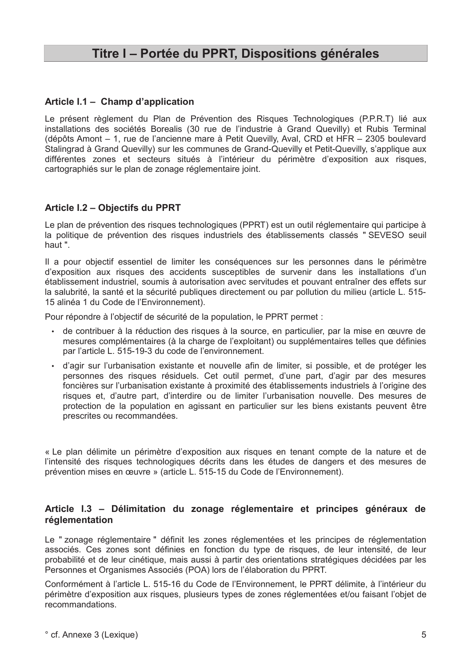## Titre I - Portée du PPRT, Dispositions générales

### Article I.1 - Champ d'application

Le présent règlement du Plan de Prévention des Risques Technologiques (P.P.R.T) lié aux installations des sociétés Borealis (30 rue de l'industrie à Grand Quevilly) et Rubis Terminal (dépôts Amont - 1, rue de l'ancienne mare à Petit Quevilly, Aval, CRD et HFR - 2305 boulevard Stalingrad à Grand Quevilly) sur les communes de Grand-Quevilly et Petit-Quevilly, s'applique aux différentes zones et secteurs situés à l'intérieur du périmètre d'exposition aux risques, cartographiés sur le plan de zonage réglementaire joint.

### Article I.2 - Objectifs du PPRT

Le plan de prévention des risques technologiques (PPRT) est un outil réglementaire qui participe à la politique de prévention des risques industriels des établissements classés "SEVESO seuil haut".

Il a pour objectif essentiel de limiter les conséquences sur les personnes dans le périmètre d'exposition aux risques des accidents susceptibles de survenir dans les installations d'un établissement industriel, soumis à autorisation avec servitudes et pouvant entraîner des effets sur la salubrité, la santé et la sécurité publiques directement ou par pollution du milieu (article L. 515-15 alinéa 1 du Code de l'Environnement).

Pour répondre à l'objectif de sécurité de la population, le PPRT permet :

- · de contribuer à la réduction des risques à la source, en particulier, par la mise en œuvre de mesures complémentaires (à la charge de l'exploitant) ou supplémentaires telles que définies par l'article L. 515-19-3 du code de l'environnement.
- · d'agir sur l'urbanisation existante et nouvelle afin de limiter, si possible, et de protéger les personnes des risques résiduels. Cet outil permet, d'une part, d'agir par des mesures foncières sur l'urbanisation existante à proximité des établissements industriels à l'origine des risques et, d'autre part, d'interdire ou de limiter l'urbanisation nouvelle. Des mesures de protection de la population en agissant en particulier sur les biens existants peuvent être prescrites ou recommandées.

« Le plan délimite un périmètre d'exposition aux risques en tenant compte de la nature et de l'intensité des risques technologiques décrits dans les études de dangers et des mesures de prévention mises en œuvre » (article L. 515-15 du Code de l'Environnement).

#### Article I.3 - Délimitation du zonage réglementaire et principes généraux de réalementation

Le "zonage réglementaire " définit les zones réglementées et les principes de réglementation associés. Ces zones sont définies en fonction du type de risques, de leur intensité, de leur probabilité et de leur cinétique, mais aussi à partir des orientations stratégiques décidées par les Personnes et Organismes Associés (POA) lors de l'élaboration du PPRT.

Conformément à l'article L. 515-16 du Code de l'Environnement. le PPRT délimite, à l'intérieur du périmètre d'exposition aux risques, plusieurs types de zones réglementées et/ou faisant l'obiet de recommandations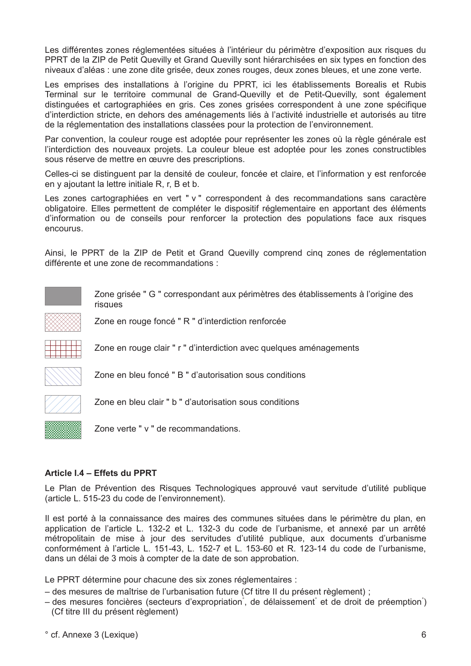Les différentes zones réglementées situées à l'intérieur du périmètre d'exposition aux risques du PPRT de la ZIP de Petit Quevilly et Grand Quevilly sont hiérarchisées en six types en fonction des niveaux d'aléas : une zone dite grisée, deux zones rouges, deux zones bleues, et une zone verte.

Les emprises des installations à l'origine du PPRT, ici les établissements Borealis et Rubis Terminal sur le territoire communal de Grand-Quevilly et de Petit-Quevilly, sont également distinguées et cartographiées en gris. Ces zones grisées correspondent à une zone spécifique d'interdiction stricte, en dehors des aménagements liés à l'activité industrielle et autorisés au titre de la réglementation des installations classées pour la protection de l'environnement.

Par convention, la couleur rouge est adoptée pour représenter les zones où la règle générale est l'interdiction des nouveaux projets. La couleur bleue est adoptée pour les zones constructibles sous réserve de mettre en œuvre des prescriptions.

Celles-ci se distinguent par la densité de couleur, foncée et claire, et l'information y est renforcée en y ajoutant la lettre initiale R, r, B et b.

Les zones cartographiées en vert " v " correspondent à des recommandations sans caractère obligatoire. Elles permettent de compléter le dispositif réglementaire en apportant des éléments d'information ou de conseils pour renforcer la protection des populations face aux risques encourus.

Ainsi, le PPRT de la ZIP de Petit et Grand Quevilly comprend cinq zones de réglementation différente et une zone de recommandations :

Zone grisée " G " correspondant aux périmètres des établissements à l'origine des risques



Zone en rouge foncé " R " d'interdiction renforcée

Zone en bleu foncé " B " d'autorisation sous conditions

Zone en rouge clair " r " d'interdiction avec quelques aménagements



Zone en bleu clair " b " d'autorisation sous conditions

Zone verte " v " de recommandations.

#### Article I.4 - Effets du PPRT

Le Plan de Prévention des Risques Technologiques approuvé vaut servitude d'utilité publique (article L, 515-23 du code de l'environnement).

Il est porté à la connaissance des maires des communes situées dans le périmètre du plan, en application de l'article L. 132-2 et L. 132-3 du code de l'urbanisme, et annexé par un arrêté métropolitain de mise à jour des servitudes d'utilité publique, aux documents d'urbanisme conformément à l'article L. 151-43, L. 152-7 et L. 153-60 et R. 123-14 du code de l'urbanisme, dans un délai de 3 mois à compter de la date de son approbation.

Le PPRT détermine pour chacune des six zones réglementaires :

- des mesures de maîtrise de l'urbanisation future (Cf titre II du présent règlement) ;
- des mesures foncières (secteurs d'expropriation de délaissement et de droit de préemption ) (Cf titre III du présent règlement)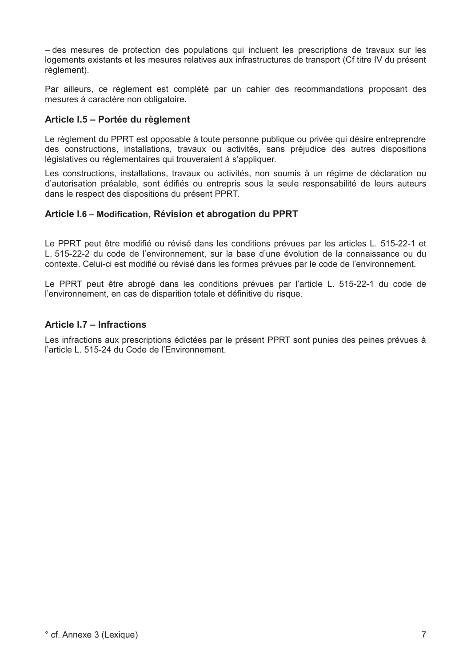- des mesures de protection des populations qui incluent les prescriptions de travaux sur les logements existants et les mesures relatives aux infrastructures de transport (Cf titre IV du présent règlement).

Par ailleurs, ce règlement est complété par un cahier des recommandations proposant des mesures à caractère non obligatoire.

## Article I.5 - Portée du règlement

Le règlement du PPRT est opposable à toute personne publique ou privée qui désire entreprendre des constructions, installations, travaux ou activités, sans préjudice des autres dispositions législatives ou réglementaires qui trouveraient à s'appliquer.

Les constructions, installations, travaux ou activités, non soumis à un régime de déclaration ou d'autorisation préalable, sont édifiés ou entrepris sous la seule responsabilité de leurs auteurs dans le respect des dispositions du présent PPRT.

## Article I.6 - Modification, Révision et abrogation du PPRT

Le PPRT peut être modifié ou révisé dans les conditions prévues par les articles L. 515-22-1 et L. 515-22-2 du code de l'environnement, sur la base d'une évolution de la connaissance ou du contexte. Celui-ci est modifié ou révisé dans les formes prévues par le code de l'environnement.

Le PPRT peut être abrogé dans les conditions prévues par l'article L. 515-22-1 du code de l'environnement, en cas de disparition totale et définitive du risque.

### Article I.7 - Infractions

Les infractions aux prescriptions édictées par le présent PPRT sont punies des peines prévues à l'article L. 515-24 du Code de l'Environnement.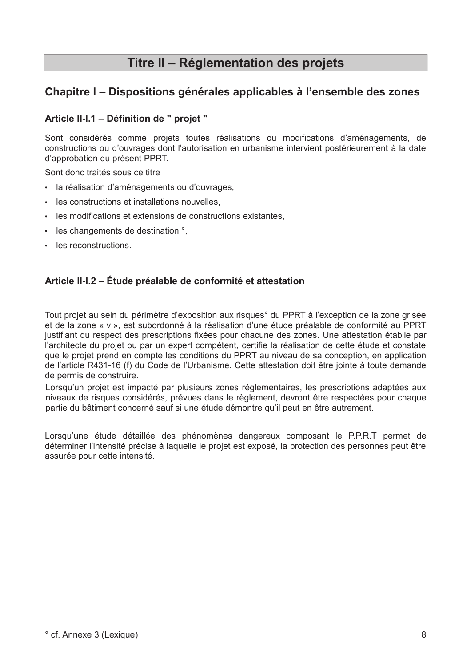## Titre II - Réglementation des projets

## Chapitre I – Dispositions générales applicables à l'ensemble des zones

## Article II-I.1 - Définition de " projet "

Sont considérés comme projets toutes réalisations ou modifications d'aménagements, de constructions ou d'ouvrages dont l'autorisation en urbanisme intervient postérieurement à la date d'approbation du présent PPRT.

Sont donc traités sous ce titre :

- · la réalisation d'aménagements ou d'ouvrages.
- · les constructions et installations nouvelles,
- les modifications et extensions de constructions existantes,
- les changements de destination °.
- · les reconstructions.

## Article II-I.2 – Étude préalable de conformité et attestation

Tout projet au sein du périmètre d'exposition aux risques° du PPRT à l'exception de la zone grisée et de la zone « v », est subordonné à la réalisation d'une étude préalable de conformité au PPRT justifiant du respect des prescriptions fixées pour chacune des zones. Une attestation établie par l'architecte du projet ou par un expert compétent, certifie la réalisation de cette étude et constate que le projet prend en compte les conditions du PPRT au niveau de sa conception, en application de l'article R431-16 (f) du Code de l'Urbanisme. Cette attestation doit être jointe à toute demande de permis de construire.

Lorsqu'un projet est impacté par plusieurs zones réglementaires, les prescriptions adaptées aux niveaux de risques considérés, prévues dans le règlement, devront être respectées pour chaque partie du bâtiment concerné sauf si une étude démontre qu'il peut en être autrement.

Lorsqu'une étude détaillée des phénomènes dangereux composant le P.P.R.T permet de déterminer l'intensité précise à laquelle le projet est exposé, la protection des personnes peut être assurée pour cette intensité.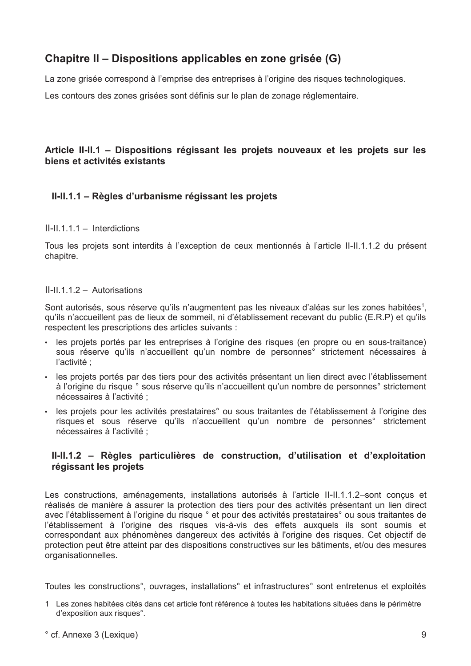## Chapitre II – Dispositions applicables en zone grisée (G)

La zone grisée correspond à l'emprise des entreprises à l'origine des risques technologiques.

Les contours des zones grisées sont définis sur le plan de zonage réglementaire.

## Article II-II.1 - Dispositions régissant les projets nouveaux et les projets sur les biens et activités existants

## II-II.1.1 – Règles d'urbanisme régissant les projets

#### $II-II.1.1.1 - Interdictions$

Tous les projets sont interdits à l'exception de ceux mentionnés à l'article II-II.1.1.2 du présent chapitre.

#### $II-II.1.1.2 - Autorisations$

Sont autorisés, sous réserve qu'ils n'augmentent pas les niveaux d'aléas sur les zones habitées<sup>1</sup>, qu'ils n'accueillent pas de lieux de sommeil, ni d'établissement recevant du public (E.R.P) et qu'ils respectent les prescriptions des articles suivants :

- · les projets portés par les entreprises à l'origine des risques (en propre ou en sous-traitance) sous réserve qu'ils n'accueillent qu'un nombre de personnes° strictement nécessaires à l'activité :
- · les projets portés par des tiers pour des activités présentant un lien direct avec l'établissement à l'origine du risque ° sous réserve qu'ils n'accueillent qu'un nombre de personnes strictement nécessaires à l'activité :
- · les projets pour les activités prestataires° ou sous traitantes de l'établissement à l'origine des risques et sous réserve qu'ils n'accueillent qu'un nombre de personnes° strictement nécessaires à l'activité ;

## II-II.1.2 - Règles particulières de construction, d'utilisation et d'exploitation régissant les projets

Les constructions, aménagements, installations autorisés à l'article II-II.1.1.2–sont concus et réalisés de manière à assurer la protection des tiers pour des activités présentant un lien direct avec l'établissement à l'origine du risque ° et pour des activités prestataires° ou sous traitantes de l'établissement à l'origine des risques vis-à-vis des effets auxquels ils sont soumis et correspondant aux phénomènes dangereux des activités à l'origine des risques. Cet objectif de protection peut être atteint par des dispositions constructives sur les bâtiments, et/ou des mesures organisationnelles.

Toutes les constructions°, ouvrages, installations° et infrastructures° sont entretenus et exploités

- 1 Les zones habitées cités dans cet article font référence à toutes les habitations situées dans le périmètre d'exposition aux risques°.
- ° cf. Annexe 3 (Lexique)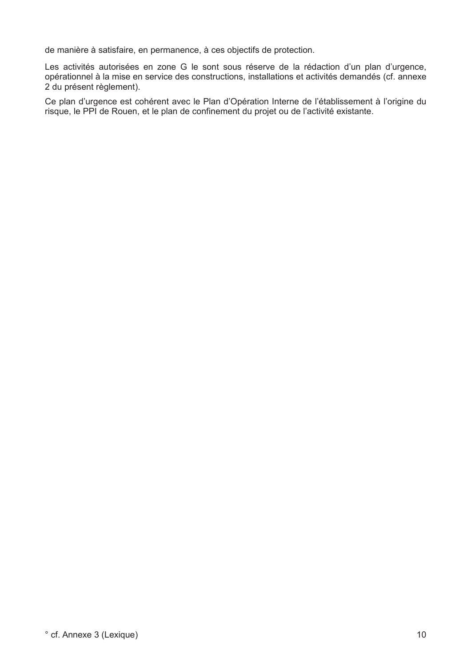de manière à satisfaire, en permanence, à ces objectifs de protection.

Les activités autorisées en zone G le sont sous réserve de la rédaction d'un plan d'urgence, opérationnel à la mise en service des constructions, installations et activités demandés (cf. annexe 2 du présent règlement).

Ce plan d'urgence est cohérent avec le Plan d'Opération Interne de l'établissement à l'origine du risque, le PPI de Rouen, et le plan de confinement du projet ou de l'activité existante.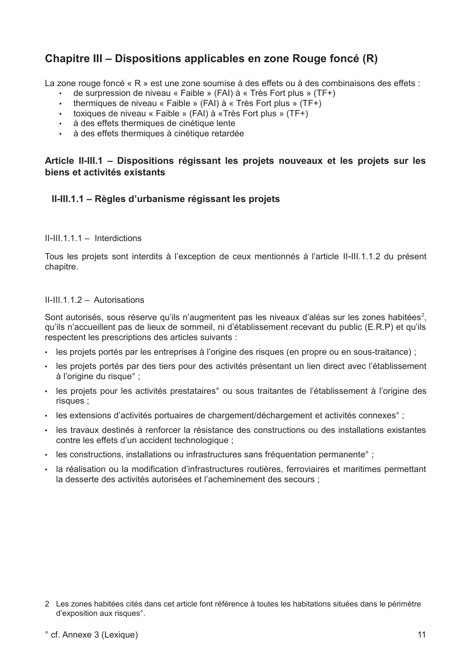## Chapitre III – Dispositions applicables en zone Rouge foncé (R)

La zone rouge foncé « R » est une zone soumise à des effets ou à des combinaisons des effets :

- de surpression de niveau « Faible » (FAI) à « Très Fort plus » (TF+)
- thermiques de niveau « Faible » (FAI) à « Très Fort plus » (TF+)
- toxiques de niveau « Faible » (FAI) à «Très Fort plus » (TF+)
- · à des effets thermiques de cinétique lente
- · à des effets thermiques à cinétique retardée

## Article II-III.1 - Dispositions régissant les projets nouveaux et les projets sur les biens et activités existants

## II-III.1.1 - Règles d'urbanisme régissant les projets

 $II-HII 1 1 1 - Interdictions$ 

Tous les projets sont interdits à l'exception de ceux mentionnés à l'article II-III.1.1.2 du présent chapitre.

 $II$ -III 1 1 2 - Autorisations

Sont autorisés, sous réserve qu'ils n'augmentent pas les niveaux d'aléas sur les zones habitées<sup>2</sup>. qu'ils n'accueillent pas de lieux de sommeil, ni d'établissement recevant du public (E.R.P) et qu'ils respectent les prescriptions des articles suivants :

- · les projets portés par les entreprises à l'origine des risques (en propre ou en sous-traitance) ;
- · les projets portés par des tiers pour des activités présentant un lien direct avec l'établissement à l'origine du risque° ;
- · les projets pour les activités prestataires° ou sous traitantes de l'établissement à l'origine des risques :
- · les extensions d'activités portuaires de chargement/déchargement et activités connexes :
- · les travaux destinés à renforcer la résistance des constructions ou des installations existantes contre les effets d'un accident technologique :
- · les constructions, installations ou infrastructures sans fréquentation permanente° ;
- · la réalisation ou la modification d'infrastructures routières, ferroviaires et maritimes permettant la desserte des activités autorisées et l'acheminement des secours :

<sup>2</sup> Les zones habitées cités dans cet article font référence à toutes les habitations situées dans le périmètre d'exposition aux risques°.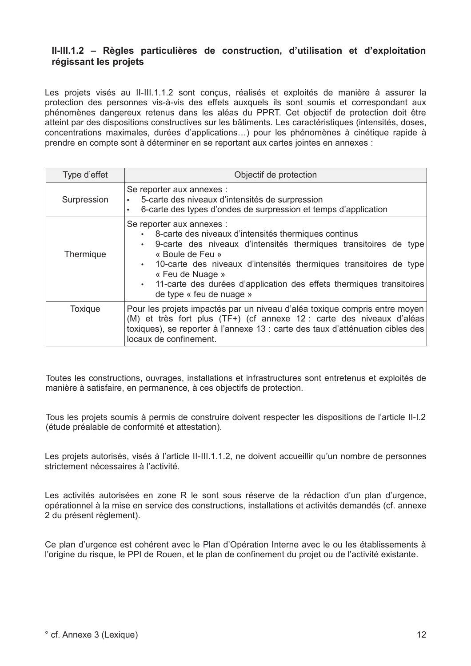## II-III.1.2 - Règles particulières de construction, d'utilisation et d'exploitation régissant les projets

Les projets visés au II-III.1.1.2 sont concus, réalisés et exploités de manière à assurer la protection des personnes vis-à-vis des effets auxquels ils sont soumis et correspondant aux phénomènes dangereux retenus dans les aléas du PPRT. Cet objectif de protection doit être atteint par des dispositions constructives sur les bâtiments. Les caractéristiques (intensités, doses, concentrations maximales, durées d'applications...) pour les phénomènes à cinétique rapide à prendre en compte sont à déterminer en se reportant aux cartes jointes en annexes :

| Type d'effet | Objectif de protection                                                                                                                                                                                                                                                                                                                                                   |  |  |  |  |  |  |  |  |
|--------------|--------------------------------------------------------------------------------------------------------------------------------------------------------------------------------------------------------------------------------------------------------------------------------------------------------------------------------------------------------------------------|--|--|--|--|--|--|--|--|
| Surpression  | Se reporter aux annexes :<br>5-carte des niveaux d'intensités de surpression<br>6-carte des types d'ondes de surpression et temps d'application<br>٠                                                                                                                                                                                                                     |  |  |  |  |  |  |  |  |
| Thermique    | Se reporter aux annexes :<br>8-carte des niveaux d'intensités thermiques continus<br>9-carte des niveaux d'intensités thermiques transitoires de type<br>« Boule de Feu »<br>· 10-carte des niveaux d'intensités thermiques transitoires de type<br>« Feu de Nuage »<br>11-carte des durées d'application des effets thermiques transitoires<br>de type « feu de nuage » |  |  |  |  |  |  |  |  |
| Toxique      | Pour les projets impactés par un niveau d'aléa toxique compris entre moyen<br>(M) et très fort plus (TF+) (cf annexe 12 : carte des niveaux d'aléas<br>toxiques), se reporter à l'annexe 13 : carte des taux d'atténuation cibles des<br>locaux de confinement.                                                                                                          |  |  |  |  |  |  |  |  |

Toutes les constructions, ouvrages, installations et infrastructures sont entretenus et exploités de manière à satisfaire, en permanence, à ces objectifs de protection.

Tous les projets soumis à permis de construire doivent respecter les dispositions de l'article II-I.2 (étude préalable de conformité et attestation).

Les projets autorisés, visés à l'article II-III, 1, 1, 2, ne doivent accueillir qu'un nombre de personnes strictement nécessaires à l'activité.

Les activités autorisées en zone R le sont sous réserve de la rédaction d'un plan d'urgence. opérationnel à la mise en service des constructions, installations et activités demandés (cf. annexe 2 du présent règlement).

Ce plan d'urgence est cohérent avec le Plan d'Opération Interne avec le ou les établissements à l'origine du risque, le PPI de Rouen, et le plan de confinement du proiet ou de l'activité existante.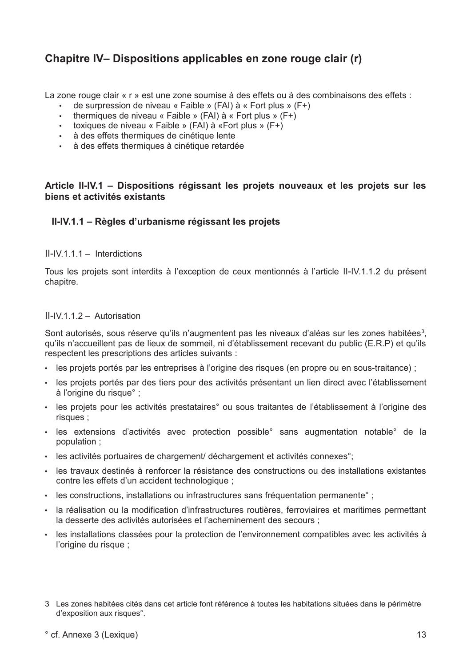## Chapitre IV-Dispositions applicables en zone rouge clair (r)

La zone rouge clair « r » est une zone soumise à des effets ou à des combinaisons des effets :

- de surpression de niveau « Faible » (FAI) à « Fort plus » (F+)
- thermiques de niveau « Faible » (FAI) à « Fort plus » (F+)
- toxiques de niveau « Faible » (FAI) à «Fort plus » (F+)
- · à des effets thermiques de cinétique lente
- · à des effets thermiques à cinétique retardée

### Article II-IV.1 - Dispositions régissant les projets nouveaux et les projets sur les biens et activités existants

### II-IV.1.1 – Règles d'urbanisme régissant les projets

 $II$ -IV 1 1 1 – Interdictions

Tous les projets sont interdits à l'exception de ceux mentionnés à l'article II-IV.1.1.2 du présent chapitre.

#### II-IV.1.1.2 - Autorisation

Sont autorisés, sous réserve qu'ils n'augmentent pas les niveaux d'aléas sur les zones habitées<sup>3</sup>, qu'ils n'accueillent pas de lieux de sommeil, ni d'établissement recevant du public (E.R.P) et qu'ils respectent les prescriptions des articles suivants :

- · les projets portés par les entreprises à l'origine des risques (en propre ou en sous-traitance) ;
- · les projets portés par des tiers pour des activités présentant un lien direct avec l'établissement à l'origine du risque° ;
- · les projets pour les activités prestataires° ou sous traitantes de l'établissement à l'origine des risques ;
- · les extensions d'activités avec protection possible° sans augmentation notable° de la population;
- · les activités portuaires de chargement/ déchargement et activités connexes°;
- · les travaux destinés à renforcer la résistance des constructions ou des installations existantes contre les effets d'un accident technologique ;
- · les constructions, installations ou infrastructures sans fréquentation permanente°;
- · la réalisation ou la modification d'infrastructures routières, ferroviaires et maritimes permettant la desserte des activités autorisées et l'acheminement des secours :
- les installations classées pour la protection de l'environnement compatibles avec les activités à l'origine du risque ;
- 3 Les zones habitées cités dans cet article font référence à toutes les habitations situées dans le périmètre d'exposition aux risques°.

#### ° cf. Annexe 3 (Lexique)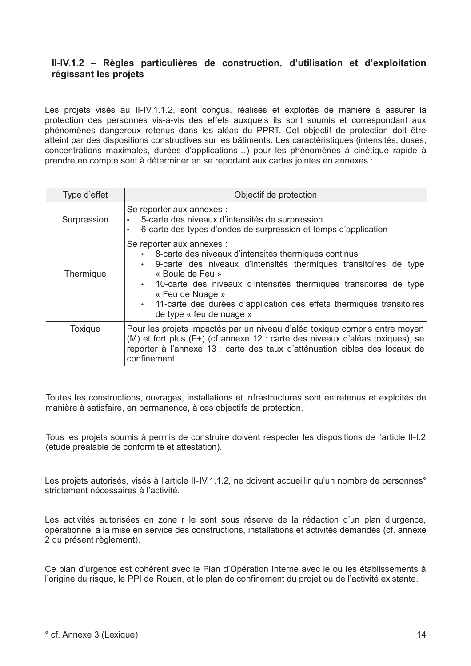## II-IV.1.2 - Règles particulières de construction, d'utilisation et d'exploitation régissant les projets

Les proiets visés au II-IV.1.1.2, sont concus, réalisés et exploités de manière à assurer la protection des personnes vis-à-vis des effets auxquels ils sont soumis et correspondant aux phénomènes dangereux retenus dans les aléas du PPRT. Cet objectif de protection doit être atteint par des dispositions constructives sur les bâtiments. Les caractéristiques (intensités, doses, concentrations maximales, durées d'applications...) pour les phénomènes à cinétique rapide à prendre en compte sont à déterminer en se reportant aux cartes jointes en annexes :

| Type d'effet | Objectif de protection                                                                                                                                                                                                                                                                                                                                                 |  |  |  |  |  |  |  |
|--------------|------------------------------------------------------------------------------------------------------------------------------------------------------------------------------------------------------------------------------------------------------------------------------------------------------------------------------------------------------------------------|--|--|--|--|--|--|--|
| Surpression  | Se reporter aux annexes :<br>5-carte des niveaux d'intensités de surpression<br>6-carte des types d'ondes de surpression et temps d'application                                                                                                                                                                                                                        |  |  |  |  |  |  |  |
| Thermique    | Se reporter aux annexes :<br>8-carte des niveaux d'intensités thermiques continus<br>9-carte des niveaux d'intensités thermiques transitoires de type<br>« Boule de Feu »<br>10-carte des niveaux d'intensités thermiques transitoires de type<br>« Feu de Nuage »<br>11-carte des durées d'application des effets thermiques transitoires<br>de type « feu de nuage » |  |  |  |  |  |  |  |
| Toxique      | Pour les projets impactés par un niveau d'aléa toxique compris entre moyen<br>(M) et fort plus (F+) (cf annexe 12 : carte des niveaux d'aléas toxiques), se<br>reporter à l'annexe 13 : carte des taux d'atténuation cibles des locaux de<br>confinement.                                                                                                              |  |  |  |  |  |  |  |

Toutes les constructions, ouvrages, installations et infrastructures sont entretenus et exploités de manière à satisfaire, en permanence, à ces objectifs de protection.

Tous les projets soumis à permis de construire doivent respecter les dispositions de l'article II-I.2 (étude préalable de conformité et attestation).

Les projets autorisés, visés à l'article II-IV.1.1.2, ne doivent accueillir qu'un nombre de personnes° strictement nécessaires à l'activité

Les activités autorisées en zone r le sont sous réserve de la rédaction d'un plan d'urgence, opérationnel à la mise en service des constructions, installations et activités demandés (cf. annexe 2 du présent règlement).

Ce plan d'urgence est cohérent avec le Plan d'Opération Interne avec le ou les établissements à l'origine du risque. le PPI de Rouen, et le plan de confinement du projet ou de l'activité existante.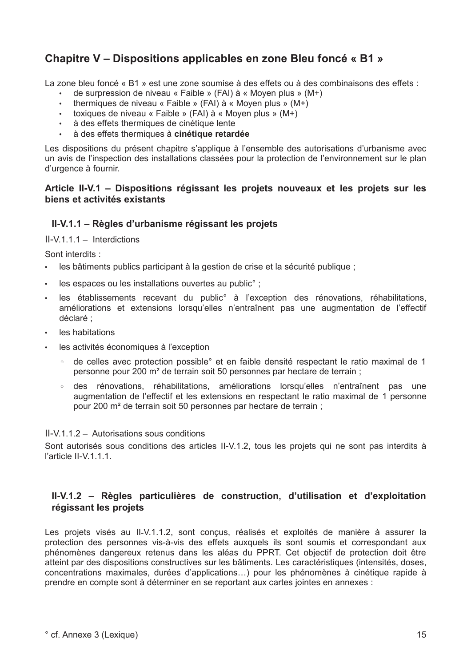## Chapitre V – Dispositions applicables en zone Bleu foncé « B1 »

La zone bleu foncé « B1 » est une zone soumise à des effets ou à des combinaisons des effets :

- de surpression de niveau « Faible » (FAI) à « Moven plus » (M+)
- thermiques de niveau « Faible » (FAI) à « Moven plus » (M+)
- toxiques de niveau « Faible » (FAI) à « Moyen plus » (M+)
- · à des effets thermiques de cinétique lente
- à des effets thermiques à cinétique retardée

Les dispositions du présent chapitre s'applique à l'ensemble des autorisations d'urbanisme avec un avis de l'inspection des installations classées pour la protection de l'environnement sur le plan d'urgence à fournir.

## Article II-V.1 – Dispositions régissant les projets nouveaux et les projets sur les biens et activités existants

## II-V.1.1 – Règles d'urbanisme régissant les projets

 $II-V.1.1.1 - Interdictions$ 

Sont interdits :

- $\mathbf{r}$ les bâtiments publics participant à la gestion de crise et la sécurité publique :
- les espaces ou les installations ouvertes au public° :
- · les établissements recevant du public° à l'exception des rénovations, réhabilitations, améliorations et extensions lorsqu'elles n'entraînent pas une augmentation de l'effectif déclaré ·
- · les habitations
- les activités économiques à l'exception
	- de celles avec protection possible° et en faible densité respectant le ratio maximal de 1  $\circ$ personne pour 200 m<sup>2</sup> de terrain soit 50 personnes par hectare de terrain;
	- $\circ$ des rénovations, réhabilitations, améliorations lorsqu'elles n'entraînent pas une augmentation de l'effectif et les extensions en respectant le ratio maximal de 1 personne pour 200 m<sup>2</sup> de terrain soit 50 personnes par hectare de terrain ;

#### $II-V112 - Autorisations$  sous conditions

Sont autorisés sous conditions des articles II-V.1.2, tous les projets qui ne sont pas interdits à l'article II-V 1 1 1

## II-V.1.2 - Règles particulières de construction, d'utilisation et d'exploitation régissant les projets

Les projets visés au II-V.1.1.2, sont conçus, réalisés et exploités de manière à assurer la protection des personnes vis-à-vis des effets auxquels ils sont soumis et correspondant aux phénomènes dangereux retenus dans les aléas du PPRT. Cet objectif de protection doit être atteint par des dispositions constructives sur les bâtiments. Les caractéristiques (intensités, doses, concentrations maximales, durées d'applications...) pour les phénomènes à cinétique rapide à prendre en compte sont à déterminer en se reportant aux cartes jointes en annexes :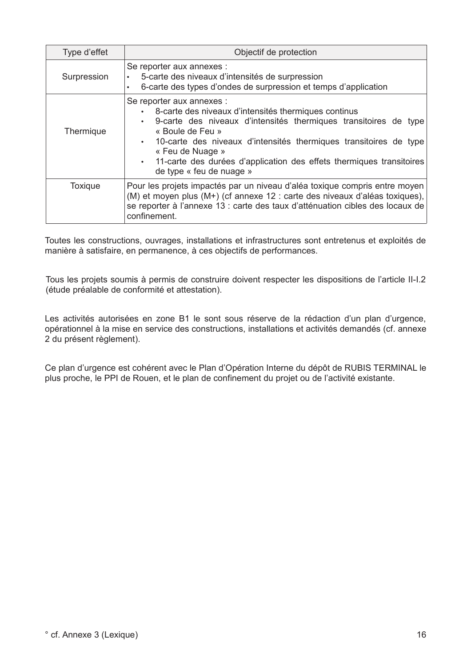| Type d'effet   | Objectif de protection                                                                                                                                                                                                                                                                                                                                                              |  |  |  |  |  |  |  |
|----------------|-------------------------------------------------------------------------------------------------------------------------------------------------------------------------------------------------------------------------------------------------------------------------------------------------------------------------------------------------------------------------------------|--|--|--|--|--|--|--|
| Surpression    | Se reporter aux annexes :<br>5-carte des niveaux d'intensités de surpression<br>6-carte des types d'ondes de surpression et temps d'application<br>٠                                                                                                                                                                                                                                |  |  |  |  |  |  |  |
| Thermique      | Se reporter aux annexes :<br>8-carte des niveaux d'intensités thermiques continus<br>9-carte des niveaux d'intensités thermiques transitoires de type<br>$\bullet$<br>« Boule de Feu »<br>10-carte des niveaux d'intensités thermiques transitoires de type<br>« Feu de Nuage »<br>11-carte des durées d'application des effets thermiques transitoires<br>de type « feu de nuage » |  |  |  |  |  |  |  |
| <b>Toxique</b> | Pour les projets impactés par un niveau d'aléa toxique compris entre moyen<br>(M) et moyen plus (M+) (cf annexe 12 : carte des niveaux d'aléas toxiques),<br>se reporter à l'annexe 13 : carte des taux d'atténuation cibles des locaux de<br>confinement.                                                                                                                          |  |  |  |  |  |  |  |

Toutes les constructions, ouvrages, installations et infrastructures sont entretenus et exploités de manière à satisfaire, en permanence, à ces objectifs de performances.

Tous les projets soumis à permis de construire doivent respecter les dispositions de l'article II-I.2 (étude préalable de conformité et attestation).

Les activités autorisées en zone B1 le sont sous réserve de la rédaction d'un plan d'urgence. opérationnel à la mise en service des constructions, installations et activités demandés (cf. annexe 2 du présent règlement).

Ce plan d'urgence est cohérent avec le Plan d'Opération Interne du dépôt de RUBIS TERMINAL le plus proche, le PPI de Rouen, et le plan de confinement du projet ou de l'activité existante.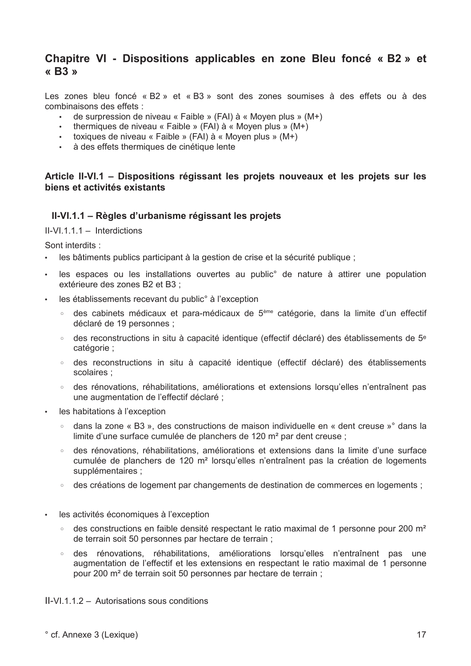## Chapitre VI - Dispositions applicables en zone Bleu foncé « B2 » et  $\alpha$  R3  $\mu$

Les zones bleu foncé « B2 » et « B3 » sont des zones soumises à des effets ou à des combinaisons des effets :

- de surpression de niveau « Faible » (FAI) à « Moyen plus » (M+)
- thermiques de niveau « Faible » (FAI) à « Moven plus » (M+)
- toxiques de niveau « Faible » (FAI) à « Moven plus » (M+)
- · à des effets thermiques de cinétique lente

## Article II-VI.1 – Dispositions régissant les projets nouveaux et les projets sur les biens et activités existants

### II-VI.1.1 – Règles d'urbanisme régissant les projets

 $II-VI$  1 1 1 - Interdictions

Sont interdits:

- · les bâtiments publics participant à la gestion de crise et la sécurité publique :
- · les espaces ou les installations ouvertes au public° de nature à attirer une population extérieure des zones B2 et B3 :
- les établissements recevant du public° à l'exception  $\bullet$ 
	- ∘ des cabinets médicaux et para-médicaux de 5<sup>ème</sup> catégorie, dans la limite d'un effectif déclaré de 19 personnes ;
	- des reconstructions in situ à capacité identique (effectif déclaré) des établissements de 5<sup>e</sup>  $\circ$ catégorie ;
	- des reconstructions in situ à capacité identique (effectif déclaré) des établissements scolaires;
	- des rénovations, réhabilitations, améliorations et extensions lorsqu'elles n'entraînent pas une augmentation de l'effectif déclaré ;
- les habitations à l'exception
	- $\circ$ dans la zone « B3 », des constructions de maison individuelle en « dent creuse »° dans la limite d'une surface cumulée de planchers de 120 m<sup>2</sup> par dent creuse ;
	- des rénovations, réhabilitations, améliorations et extensions dans la limite d'une surface cumulée de planchers de 120 m<sup>2</sup> lorsqu'elles n'entraînent pas la création de logements supplémentaires :
	- des créations de logement par changements de destination de commerces en logements ;
- les activités économiques à l'exception
	- ∘ des constructions en faible densité respectant le ratio maximal de 1 personne pour 200 m<sup>2</sup> de terrain soit 50 personnes par hectare de terrain ;
	- des rénovations, réhabilitations, améliorations lorsqu'elles n'entraînent pas une  $\circ$ augmentation de l'effectif et les extensions en respectant le ratio maximal de 1 personne pour 200 m<sup>2</sup> de terrain soit 50 personnes par hectare de terrain ;

II-VI.1.1.2 - Autorisations sous conditions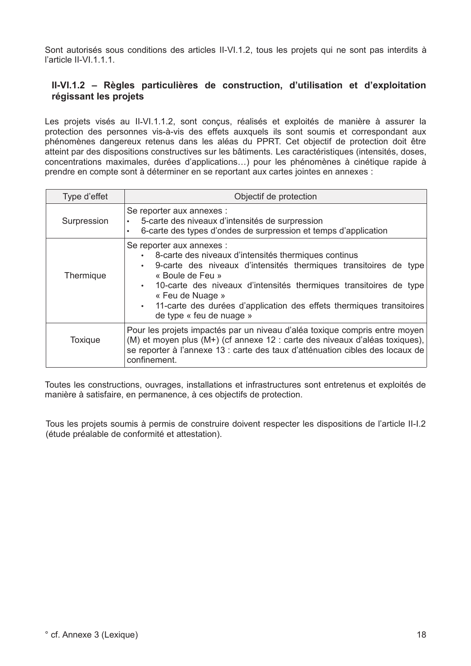Sont autorisés sous conditions des articles II-VI.1.2, tous les projets qui ne sont pas interdits à l'article II-VI.1.1.1.

## II-VI.1.2 - Règles particulières de construction, d'utilisation et d'exploitation régissant les projets

Les projets visés au II-VI.1.1.2, sont concus, réalisés et exploités de manière à assurer la protection des personnes vis-à-vis des effets auxquels ils sont soumis et correspondant aux phénomènes dangereux retenus dans les aléas du PPRT. Cet objectif de protection doit être atteint par des dispositions constructives sur les bâtiments. Les caractéristiques (intensités, doses, concentrations maximales, durées d'applications...) pour les phénomènes à cinétique rapide à prendre en compte sont à déterminer en se reportant aux cartes jointes en annexes :

| Type d'effet   | Objectif de protection                                                                                                                                                                                                                                                                                                                                                              |  |  |  |  |  |  |  |  |
|----------------|-------------------------------------------------------------------------------------------------------------------------------------------------------------------------------------------------------------------------------------------------------------------------------------------------------------------------------------------------------------------------------------|--|--|--|--|--|--|--|--|
| Surpression    | Se reporter aux annexes :<br>5-carte des niveaux d'intensités de surpression<br>6-carte des types d'ondes de surpression et temps d'application                                                                                                                                                                                                                                     |  |  |  |  |  |  |  |  |
| Thermique      | Se reporter aux annexes :<br>8-carte des niveaux d'intensités thermiques continus<br>9-carte des niveaux d'intensités thermiques transitoires de type<br>$\bullet$<br>« Boule de Feu »<br>10-carte des niveaux d'intensités thermiques transitoires de type<br>« Feu de Nuage »<br>11-carte des durées d'application des effets thermiques transitoires<br>de type « feu de nuage » |  |  |  |  |  |  |  |  |
| <b>Toxique</b> | Pour les projets impactés par un niveau d'aléa toxique compris entre moyen<br>(M) et moyen plus (M+) (cf annexe 12 : carte des niveaux d'aléas toxiques),<br>se reporter à l'annexe 13 : carte des taux d'atténuation cibles des locaux de<br>confinement.                                                                                                                          |  |  |  |  |  |  |  |  |

Toutes les constructions, ouvrages, installations et infrastructures sont entretenus et exploités de manière à satisfaire, en permanence, à ces objectifs de protection.

Tous les projets soumis à permis de construire doivent respecter les dispositions de l'article II-I.2 (étude préalable de conformité et attestation).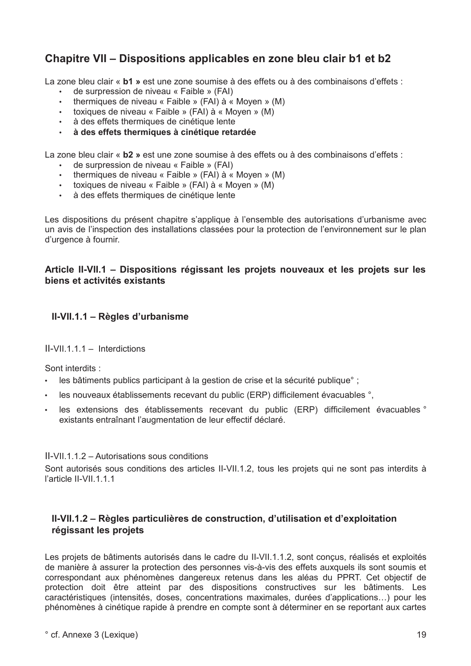## Chapitre VII – Dispositions applicables en zone bleu clair b1 et b2

La zone bleu clair « b1 » est une zone soumise à des effets ou à des combinaisons d'effets :

- de surpression de niveau « Faible » (FAI)
- $\mathbf{L}$ thermiques de niveau « Faible » (FAI) à « Moven » (M)
- toxiques de niveau « Faible » (FAI) à « Moyen » (M)
- · à des effets thermiques de cinétique lente
- · à des effets thermiques à cinétique retardée

La zone bleu clair « b2 » est une zone soumise à des effets ou à des combinaisons d'effets :

- de surpression de niveau « Faible » (FAI)
- thermiques de niveau « Faible » (FAI) à « Moyen » (M)
- toxiques de niveau « Faible » (FAI) à « Moyen » (M)
- · à des effets thermiques de cinétique lente

Les dispositions du présent chapitre s'applique à l'ensemble des autorisations d'urbanisme avec un avis de l'inspection des installations classées pour la protection de l'environnement sur le plan d'urgence à fournir.

## Article II-VII.1 - Dispositions régissant les projets nouveaux et les projets sur les biens et activités existants

## II-VII.1.1 - Règles d'urbanisme

#### $II-VII.1.1.1 - Interdictions$

Sont interdits:

- · les bâtiments publics participant à la gestion de crise et la sécurité publique :
- . les nouveaux établissements recevant du public (ERP) difficilement évacuables °.
- les extensions des établissements recevant du public (ERP) difficilement évacuables ° existants entraînant l'augmentation de leur effectif déclaré.

#### II-VII.1.1.2 - Autorisations sous conditions

Sont autorisés sous conditions des articles II-VII.1.2, tous les projets qui ne sont pas interdits à l'article II-VII.1.1.1

## II-VII.1.2 – Règles particulières de construction, d'utilisation et d'exploitation régissant les projets

Les projets de bâtiments autorisés dans le cadre du II-VII.1.1.2, sont conçus, réalisés et exploités de manière à assurer la protection des personnes vis-à-vis des effets auxquels ils sont soumis et correspondant aux phénomènes dangereux retenus dans les aléas du PPRT. Cet objectif de protection doit être atteint par des dispositions constructives sur les bâtiments. Les caractéristiques (intensités, doses, concentrations maximales, durées d'applications...) pour les phénomènes à cinétique rapide à prendre en compte sont à déterminer en se reportant aux cartes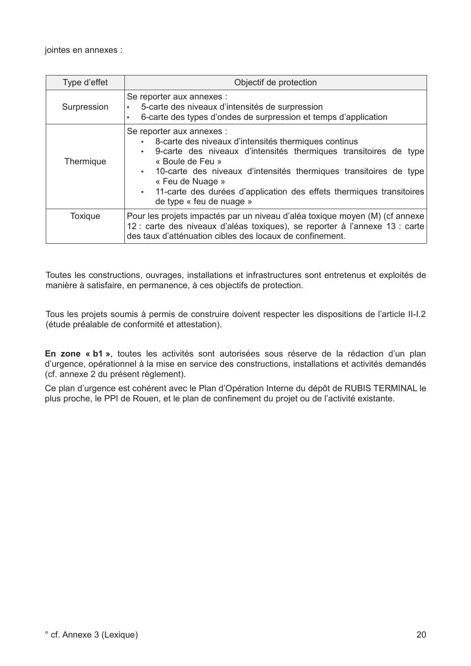jointes en annexes :

| Type d'effet   | Objectif de protection                                                                                                                                                                                                                                                                                                                                                   |  |  |  |  |  |  |  |
|----------------|--------------------------------------------------------------------------------------------------------------------------------------------------------------------------------------------------------------------------------------------------------------------------------------------------------------------------------------------------------------------------|--|--|--|--|--|--|--|
| Surpression    | Se reporter aux annexes :<br>5-carte des niveaux d'intensités de surpression<br>6-carte des types d'ondes de surpression et temps d'application                                                                                                                                                                                                                          |  |  |  |  |  |  |  |
| Thermique      | Se reporter aux annexes :<br>8-carte des niveaux d'intensités thermiques continus<br>9-carte des niveaux d'intensités thermiques transitoires de type<br>« Boule de Feu »<br>. 10-carte des niveaux d'intensités thermiques transitoires de type<br>« Feu de Nuage »<br>11-carte des durées d'application des effets thermiques transitoires<br>de type « feu de nuage » |  |  |  |  |  |  |  |
| <b>Toxique</b> | Pour les projets impactés par un niveau d'aléa toxique moyen (M) (cf annexe<br>12 : carte des niveaux d'aléas toxiques), se reporter à l'annexe 13 : carte<br>des taux d'atténuation cibles des locaux de confinement.                                                                                                                                                   |  |  |  |  |  |  |  |

Toutes les constructions, ouvrages, installations et infrastructures sont entretenus et exploités de manière à satisfaire, en permanence, à ces objectifs de protection.

Tous les projets soumis à permis de construire doivent respecter les dispositions de l'article II-I.2 (étude préalable de conformité et attestation).

En zone « b1 », toutes les activités sont autorisées sous réserve de la rédaction d'un plan d'urgence, opérationnel à la mise en service des constructions, installations et activités demandés (cf. annexe 2 du présent règlement).

Ce plan d'urgence est cohérent avec le Plan d'Opération Interne du dépôt de RUBIS TERMINAL le plus proche, le PPI de Rouen, et le plan de confinement du projet ou de l'activité existante.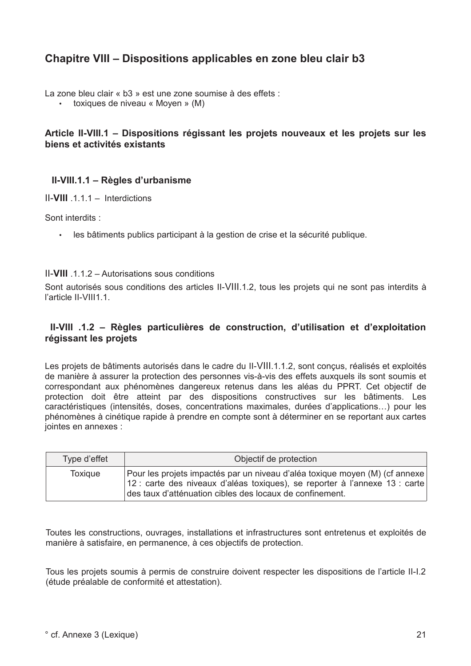## Chapitre VIII – Dispositions applicables en zone bleu clair b3

La zone bleu clair « b3 » est une zone soumise à des effets :

toxiques de niveau « Moyen » (M)

## Article II-VIII.1 - Dispositions régissant les projets nouveaux et les projets sur les biens et activités existants

## II-VIII.1.1 - Règles d'urbanisme

 $II-$ VIII  $.1.1 -$  Interdictions

Sont interdits:

· les bâtiments publics participant à la gestion de crise et la sécurité publique.

#### II-VIII 112 - Autorisations sous conditions

Sont autorisés sous conditions des articles II-VIII.1.2, tous les projets qui ne sont pas interdits à l'article II-VIII1.1.

## II-VIII .1.2 - Règles particulières de construction, d'utilisation et d'exploitation régissant les projets

Les projets de bâtiments autorisés dans le cadre du II-VIII.1.1.2, sont conçus, réalisés et exploités de manière à assurer la protection des personnes vis-à-vis des effets auxquels ils sont soumis et correspondant aux phénomènes dangereux retenus dans les aléas du PPRT. Cet objectif de protection doit être atteint par des dispositions constructives sur les bâtiments. Les caractéristiques (intensités, doses, concentrations maximales, durées d'applications...) pour les phénomènes à cinétique rapide à prendre en compte sont à déterminer en se reportant aux cartes jointes en annexes :

| Type d'effet | Objectif de protection                                                                                                                                                                                                 |
|--------------|------------------------------------------------------------------------------------------------------------------------------------------------------------------------------------------------------------------------|
| Toxique      | Pour les projets impactés par un niveau d'aléa toxique moyen (M) (cf annexe<br>12 : carte des niveaux d'aléas toxiques), se reporter à l'annexe 13 : carte<br>des taux d'atténuation cibles des locaux de confinement. |

Toutes les constructions, ouvrages, installations et infrastructures sont entretenus et exploités de manière à satisfaire, en permanence, à ces objectifs de protection.

Tous les projets soumis à permis de construire doivent respecter les dispositions de l'article II-I.2 (étude préalable de conformité et attestation).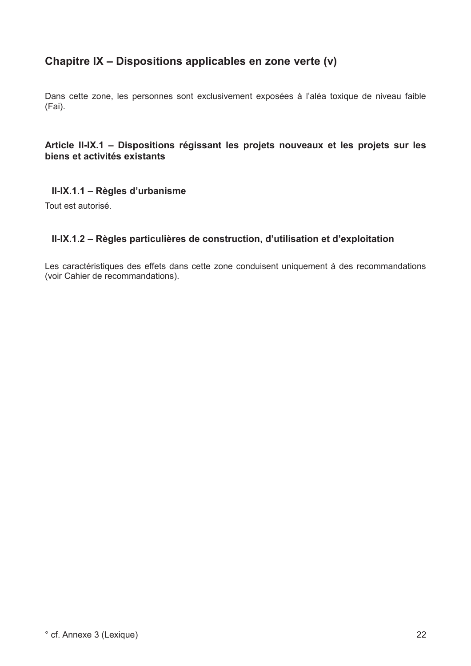## Chapitre IX - Dispositions applicables en zone verte (v)

Dans cette zone, les personnes sont exclusivement exposées à l'aléa toxique de niveau faible  $(Fai)$ .

## Article II-IX.1 - Dispositions régissant les projets nouveaux et les projets sur les biens et activités existants

## II-IX.1.1 - Règles d'urbanisme

Tout est autorisé.

## II-IX.1.2 - Règles particulières de construction, d'utilisation et d'exploitation

Les caractéristiques des effets dans cette zone conduisent uniquement à des recommandations (voir Cahier de recommandations).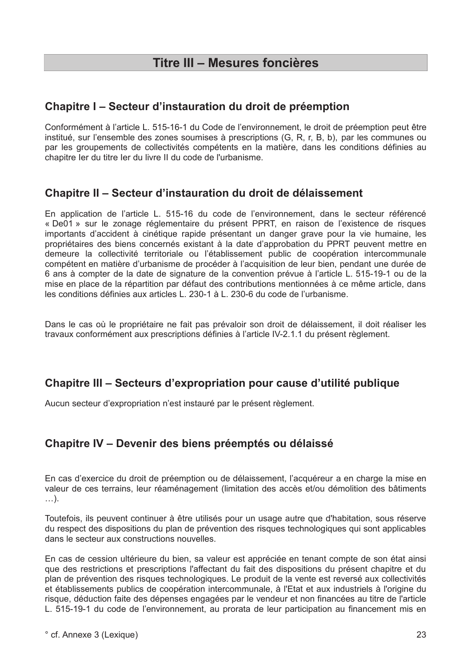## Chapitre I – Secteur d'instauration du droit de préemption

Conformément à l'article L. 515-16-1 du Code de l'environnement, le droit de préemption peut être institué, sur l'ensemble des zones soumises à prescriptions (G, R, r, B, b), par les communes ou par les groupements de collectivités compétents en la matière, dans les conditions définies au chapitre ler du titre ler du livre II du code de l'urbanisme.

## Chapitre II - Secteur d'instauration du droit de délaissement

En application de l'article L. 515-16 du code de l'environnement, dans le secteur référencé « De01 » sur le zonage réglementaire du présent PPRT, en raison de l'existence de risques importants d'accident à cinétique rapide présentant un danger grave pour la vie humaine, les propriétaires des biens concernés existant à la date d'approbation du PPRT peuvent mettre en demeure la collectivité territoriale ou l'établissement public de coopération intercommunale compétent en matière d'urbanisme de procéder à l'acquisition de leur bien, pendant une durée de 6 ans à compter de la date de signature de la convention prévue à l'article L. 515-19-1 ou de la mise en place de la répartition par défaut des contributions mentionnées à ce même article, dans les conditions définies aux articles L. 230-1 à L. 230-6 du code de l'urbanisme.

Dans le cas où le propriétaire ne fait pas prévaloir son droit de délaissement, il doit réaliser les travaux conformément aux prescriptions définies à l'article IV-2.1.1 du présent règlement.

## Chapitre III – Secteurs d'expropriation pour cause d'utilité publique

Aucun secteur d'expropriation n'est instauré par le présent règlement.

## Chapitre IV - Devenir des biens préemptés ou délaissé

En cas d'exercice du droit de préemption ou de délaissement, l'acquéreur a en charge la mise en valeur de ces terrains, leur réaménagement (limitation des accès et/ou démolition des bâtiments  $\ldots$ ).

Toutefois, ils peuvent continuer à être utilisés pour un usage autre que d'habitation, sous réserve du respect des dispositions du plan de prévention des risques technologiques qui sont applicables dans le secteur aux constructions nouvelles.

En cas de cession ultérieure du bien, sa valeur est appréciée en tenant compte de son état ainsi que des restrictions et prescriptions l'affectant du fait des dispositions du présent chapitre et du plan de prévention des risques technologiques. Le produit de la vente est reversé aux collectivités et établissements publics de coopération intercommunale, à l'Etat et aux industriels à l'origine du risque, déduction faite des dépenses engagées par le vendeur et non financées au titre de l'article L. 515-19-1 du code de l'environnement, au prorata de leur participation au financement mis en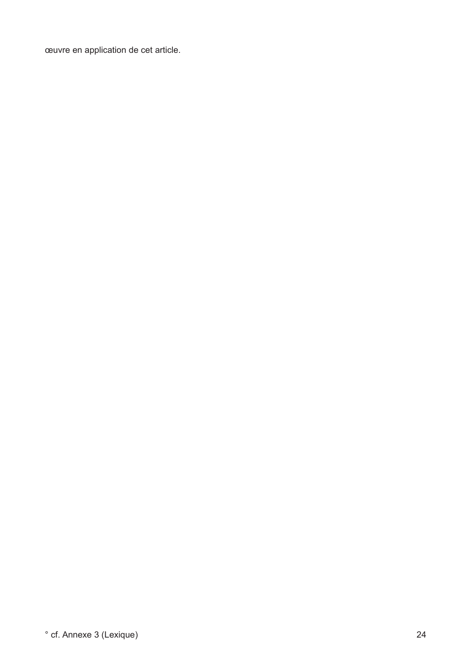œuvre en application de cet article.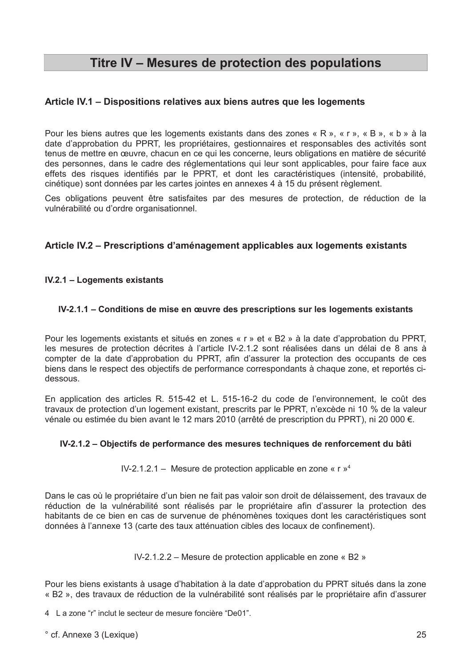## Titre IV - Mesures de protection des populations

## Article IV.1 - Dispositions relatives aux biens autres que les logements

Pour les biens autres que les logements existants dans des zones « R », « r », « B », « b » à la date d'approbation du PPRT, les propriétaires, gestionnaires et responsables des activités sont tenus de mettre en œuvre, chacun en ce qui les concerne, leurs obligations en matière de sécurité des personnes, dans le cadre des réglementations qui leur sont applicables, pour faire face aux effets des risques identifiés par le PPRT, et dont les caractéristiques (intensité, probabilité, cinétique) sont données par les cartes jointes en annexes 4 à 15 du présent règlement.

Ces obligations peuvent être satisfaites par des mesures de protection, de réduction de la vulnérabilité ou d'ordre organisationnel.

## Article IV.2 – Prescriptions d'aménagement applicables aux logements existants

### **IV.2.1 - Logements existants**

### IV-2.1.1 – Conditions de mise en œuvre des prescriptions sur les logements existants

Pour les logements existants et situés en zones « r » et « B2 » à la date d'approbation du PPRT, les mesures de protection décrites à l'article IV-2.1.2 sont réalisées dans un délai de 8 ans à compter de la date d'approbation du PPRT, afin d'assurer la protection des occupants de ces biens dans le respect des objectifs de performance correspondants à chaque zone, et reportés cidessous.

En application des articles R. 515-42 et L. 515-16-2 du code de l'environnement, le coût des travaux de protection d'un logement existant, prescrits par le PPRT, n'excède ni 10 % de la valeur vénale ou estimée du bien avant le 12 mars 2010 (arrêté de prescription du PPRT), ni 20 000 €.

#### IV-2.1.2 – Objectifs de performance des mesures techniques de renforcement du bâti

IV-2.1.2.1 – Mesure de protection applicable en zone «  $r \nu^4$ 

Dans le cas où le propriétaire d'un bien ne fait pas valoir son droit de délaissement, des travaux de réduction de la vulnérabilité sont réalisés par le propriétaire afin d'assurer la protection des habitants de ce bien en cas de survenue de phénomènes toxiques dont les caractéristiques sont données à l'annexe 13 (carte des taux atténuation cibles des locaux de confinement).

IV-2.1.2.2 – Mesure de protection applicable en zone « B2 »

Pour les biens existants à usage d'habitation à la date d'approbation du PPRT situés dans la zone « B2 », des travaux de réduction de la vulnérabilité sont réalisés par le propriétaire afin d'assurer

4 La zone "r" inclut le secteur de mesure foncière "De01".

° cf. Annexe 3 (Lexique)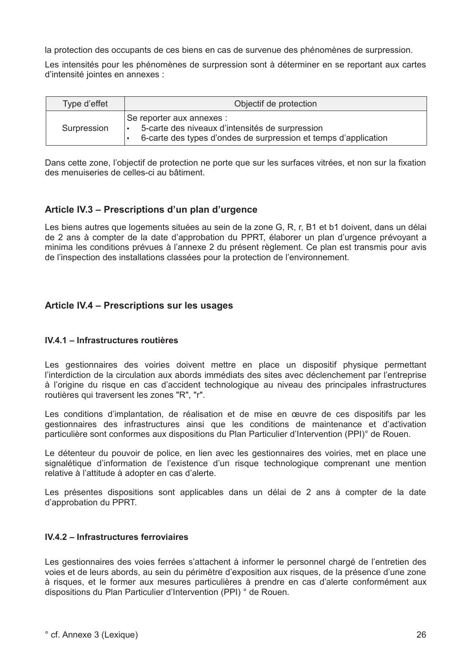la protection des occupants de ces biens en cas de survenue des phénomènes de surpression.

Les intensités pour les phénomènes de surpression sont à déterminer en se reportant aux cartes d'intensité jointes en annexes :

| Type d'effet | Objectif de protection                                                                                                                          |  |  |
|--------------|-------------------------------------------------------------------------------------------------------------------------------------------------|--|--|
| Surpression  | Se reporter aux annexes :<br>5-carte des niveaux d'intensités de surpression<br>6-carte des types d'ondes de surpression et temps d'application |  |  |

Dans cette zone, l'objectif de protection ne porte que sur les surfaces vitrées, et non sur la fixation des menuiseries de celles-ci au bâtiment.

## Article IV.3 - Prescriptions d'un plan d'urgence

Les biens autres que logements situées au sein de la zone G, R, r, B1 et b1 doivent, dans un délai de 2 ans à compter de la date d'approbation du PPRT, élaborer un plan d'urgence prévovant a minima les conditions prévues à l'annexe 2 du présent règlement. Ce plan est transmis pour avis de l'inspection des installations classées pour la protection de l'environnement.

## Article IV.4 - Prescriptions sur les usages

#### IV.4.1 - Infrastructures routières

Les gestionnaires des voiries doivent mettre en place un dispositif physique permettant l'interdiction de la circulation aux abords immédiats des sites avec déclenchement par l'entreprise à l'origine du risque en cas d'accident technologique au niveau des principales infrastructures routières qui traversent les zones "R", "r".

Les conditions d'implantation, de réalisation et de mise en œuvre de ces dispositifs par les gestionnaires des infrastructures ainsi que les conditions de maintenance et d'activation particulière sont conformes aux dispositions du Plan Particulier d'Intervention (PPI)° de Rouen.

Le détenteur du pouvoir de police, en lien avec les gestionnaires des voiries, met en place une signalétique d'information de l'existence d'un risque technologique comprenant une mention relative à l'attitude à adopter en cas d'alerte.

Les présentes dispositions sont applicables dans un délai de 2 ans à compter de la date d'approbation du PPRT.

#### IV.4.2 - Infrastructures ferroviaires

Les gestionnaires des voies ferrées s'attachent à informer le personnel chargé de l'entretien des voies et de leurs abords, au sein du périmètre d'exposition aux risques, de la présence d'une zone à risques, et le former aux mesures particulières à prendre en cas d'alerte conformément aux dispositions du Plan Particulier d'Intervention (PPI) ° de Rouen.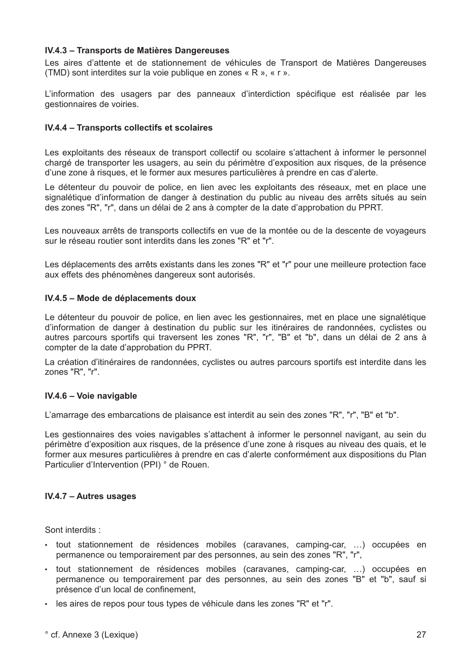#### IV.4.3 - Transports de Matières Dangereuses

Les aires d'attente et de stationnement de véhicules de Transport de Matières Dangereuses (TMD) sont interdites sur la voie publique en zones « R », « r ».

L'information des usagers par des panneaux d'interdiction spécifique est réalisée par les gestionnaires de voiries.

#### IV.4.4 - Transports collectifs et scolaires

Les exploitants des réseaux de transport collectif ou scolaire s'attachent à informer le personnel chargé de transporter les usagers, au sein du périmètre d'exposition aux risques, de la présence d'une zone à risques, et le former aux mesures particulières à prendre en cas d'alerte.

Le détenteur du pouvoir de police, en lien avec les exploitants des réseaux, met en place une signalétique d'information de danger à destination du public au niveau des arrêts situés au sein des zones "R", "r", dans un délai de 2 ans à compter de la date d'approbation du PPRT.

Les nouveaux arrêts de transports collectifs en vue de la montée ou de la descente de vovageurs sur le réseau routier sont interdits dans les zones "R" et "r"

Les déplacements des arrêts existants dans les zones "R" et "r" pour une meilleure protection face aux effets des phénomènes dangereux sont autorisés.

#### IV.4.5 - Mode de déplacements doux

Le détenteur du pouvoir de police, en lien avec les gestionnaires, met en place une signalétique d'information de danger à destination du public sur les itinéraires de randonnées, cyclistes ou autres parcours sportifs qui traversent les zones "R", "r", "B" et "b", dans un délai de 2 ans à compter de la date d'approbation du PPRT.

La création d'itinéraires de randonnées, cyclistes ou autres parcours sportifs est interdite dans les zones "R", "r".

#### IV.4.6 - Voie navigable

L'amarrage des embarcations de plaisance est interdit au sein des zones "R", "r", "B" et "b".

Les gestionnaires des voies navigables s'attachent à informer le personnel navigant, au sein du périmètre d'exposition aux risques, de la présence d'une zone à risques au niveau des quais, et le former aux mesures particulières à prendre en cas d'alerte conformément aux dispositions du Plan Particulier d'Intervention (PPI) ° de Rouen.

#### IV.4.7 - Autres usages

Sont interdits:

- · tout stationnement de résidences mobiles (caravanes, camping-car, ...) occupées en permanence ou temporairement par des personnes, au sein des zones "R", "r".
- · tout stationnement de résidences mobiles (caravanes, camping-car, ...) occupées en permanence ou temporairement par des personnes, au sein des zones "B" et "b", sauf si présence d'un local de confinement.
- . les aires de repos pour tous types de véhicule dans les zones "R" et "r".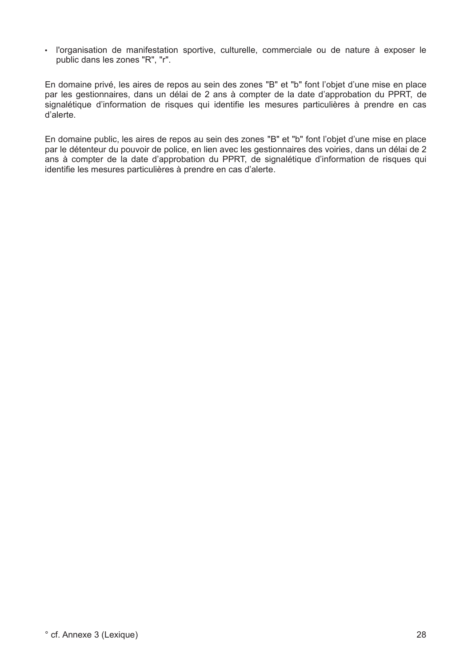· l'organisation de manifestation sportive, culturelle, commerciale ou de nature à exposer le public dans les zones "R". "r".

En domaine privé, les aires de repos au sein des zones "B" et "b" font l'objet d'une mise en place par les gestionnaires, dans un délai de 2 ans à compter de la date d'approbation du PPRT, de signalétique d'information de risques qui identifie les mesures particulières à prendre en cas d'alerte.

En domaine public, les aires de repos au sein des zones "B" et "b" font l'objet d'une mise en place par le détenteur du pouvoir de police, en lien avec les gestionnaires des voiries, dans un délai de 2 ans à compter de la date d'approbation du PPRT, de signalétique d'information de risques qui identifie les mesures particulières à prendre en cas d'alerte.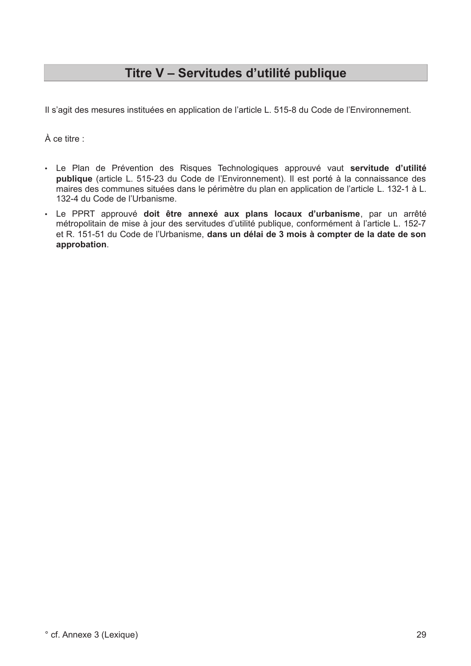## Titre V - Servitudes d'utilité publique

Il s'agit des mesures instituées en application de l'article L. 515-8 du Code de l'Environnement.

À ce titre :

- · Le Plan de Prévention des Risques Technologiques approuvé vaut servitude d'utilité publique (article L. 515-23 du Code de l'Environnement). Il est porté à la connaissance des maires des communes situées dans le périmètre du plan en application de l'article L. 132-1 à L. 132-4 du Code de l'Urbanisme.
- · Le PPRT approuvé doit être annexé aux plans locaux d'urbanisme, par un arrêté métropolitain de mise à jour des servitudes d'utilité publique, conformément à l'article L. 152-7 et R. 151-51 du Code de l'Urbanisme, dans un délai de 3 mois à compter de la date de son approbation.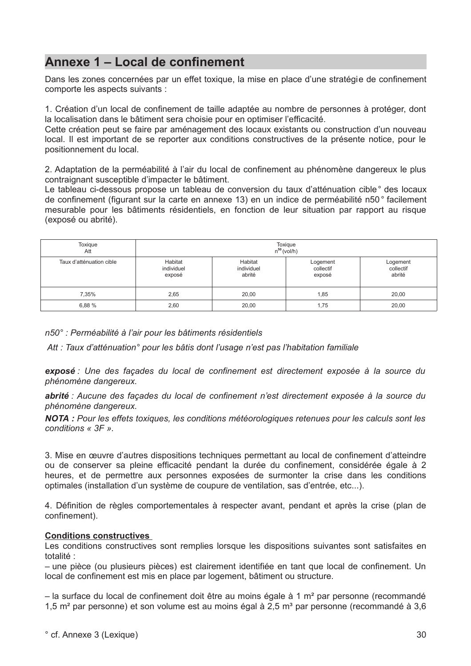## Annexe 1 - Local de confinement

Dans les zones concernées par un effet toxique, la mise en place d'une stratégie de confinement comporte les aspects suivants :

1. Création d'un local de confinement de taille adaptée au nombre de personnes à protéger, dont la localisation dans le bâtiment sera choisie pour en optimiser l'efficacité.

Cette création peut se faire par aménagement des locaux existants ou construction d'un nouveau local. Il est important de se reporter aux conditions constructives de la présente notice, pour le positionnement du local.

2. Adaptation de la perméabilité à l'air du local de confinement au phénomène dangereux le plus contraignant susceptible d'impacter le bâtiment.

Le tableau ci-dessous propose un tableau de conversion du taux d'atténuation cible ° des locaux de confinement (figurant sur la carte en annexe 13) en un indice de perméabilité n50° facilement mesurable pour les bâtiments résidentiels, en fonction de leur situation par rapport au risque (exposé ou abrité).

| Toxigue<br>Att           | Toxique<br>$n^{50}$ (vol/h)     |                                 |                                 |                                 |  |  |
|--------------------------|---------------------------------|---------------------------------|---------------------------------|---------------------------------|--|--|
| Taux d'atténuation cible | Habitat<br>individuel<br>exposé | Habitat<br>individuel<br>abrité | Logement<br>collectif<br>exposé | Logement<br>collectif<br>abrité |  |  |
| 7,35%                    | 2,65                            | 20,00                           | 1,85                            | 20,00                           |  |  |
| 6,88 %                   | 2,60                            | 20,00                           | 1,75                            | 20,00                           |  |  |

n50° : Perméabilité à l'air pour les bâtiments résidentiels

Att : Taux d'atténuation° pour les bâtis dont l'usage n'est pas l'habitation familiale

exposé : Une des facades du local de confinement est directement exposée à la source du phénomène dangereux.

abrité : Aucune des façades du local de confinement n'est directement exposée à la source du phénomène dangereux.

NOTA : Pour les effets toxiques, les conditions météorologiques retenues pour les calculs sont les conditions  $\kappa$  3F ».

3. Mise en œuvre d'autres dispositions techniques permettant au local de confinement d'atteindre ou de conserver sa pleine efficacité pendant la durée du confinement, considérée égale à 2 heures, et de permettre aux personnes exposées de surmonter la crise dans les conditions optimales (installation d'un système de coupure de ventilation, sas d'entrée, etc...).

4. Définition de règles comportementales à respecter avant, pendant et après la crise (plan de confinement).

#### **Conditions constructives**

Les conditions constructives sont remplies lorsque les dispositions suivantes sont satisfaites en totalité :

- une pièce (ou plusieurs pièces) est clairement identifiée en tant que local de confinement. Un local de confinement est mis en place par logement, bâtiment ou structure.

- la surface du local de confinement doit être au moins égale à 1 m<sup>2</sup> par personne (recommandé 1,5 m<sup>2</sup> par personne) et son volume est au moins égal à 2,5 m<sup>3</sup> par personne (recommandé à 3,6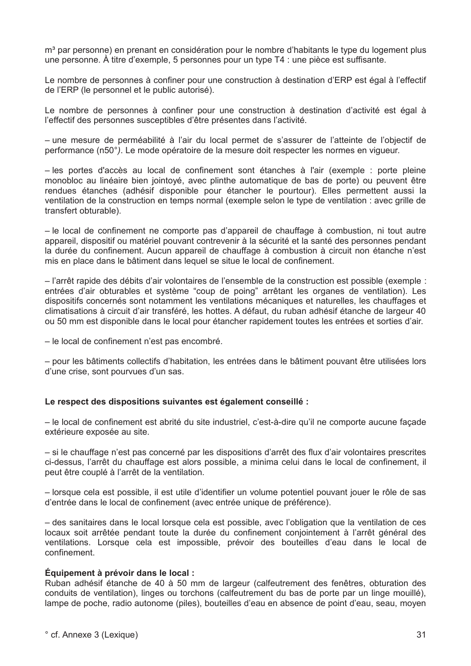m<sup>3</sup> par personne) en prenant en considération pour le nombre d'habitants le type du logement plus une personne. À titre d'exemple, 5 personnes pour un type T4 ; une pièce est suffisante.

Le nombre de personnes à confiner pour une construction à destination d'ERP est égal à l'effectif de l'ERP (le personnel et le public autorisé).

Le nombre de personnes à confiner pour une construction à destination d'activité est égal à l'effectif des personnes susceptibles d'être présentes dans l'activité.

- une mesure de perméabilité à l'air du local permet de s'assurer de l'atteinte de l'objectif de performance (n50°). Le mode opératoire de la mesure doit respecter les normes en vigueur.

- les portes d'accès au local de confinement sont étanches à l'air (exemple : porte pleine monobloc au linéaire bien jointoyé, avec plinthe automatique de bas de porte) ou peuvent être rendues étanches (adhésif disponible pour étancher le pourtour). Elles permettent aussi la ventilation de la construction en temps normal (exemple selon le type de ventilation : avec grille de transfert obturable).

- le local de confinement ne comporte pas d'appareil de chauffage à combustion, ni tout autre appareil, dispositif ou matériel pouvant contrevenir à la sécurité et la santé des personnes pendant la durée du confinement. Aucun appareil de chauffage à combustion à circuit non étanche n'est mis en place dans le bâtiment dans lequel se situe le local de confinement.

- l'arrêt rapide des débits d'air volontaires de l'ensemble de la construction est possible (exemple : entrées d'air obturables et système "coup de poing" arrêtant les organes de ventilation). Les dispositifs concernés sont notamment les ventilations mécaniques et naturelles, les chauffages et climatisations à circuit d'air transféré, les hottes. A défaut, du ruban adhésif étanche de largeur 40 ou 50 mm est disponible dans le local pour étancher rapidement toutes les entrées et sorties d'air.

- le local de confinement n'est pas encombré.

- pour les bâtiments collectifs d'habitation, les entrées dans le bâtiment pouvant être utilisées lors d'une crise, sont pourvues d'un sas.

#### Le respect des dispositions suivantes est également conseillé :

- le local de confinement est abrité du site industriel, c'est-à-dire qu'il ne comporte aucune façade extérieure exposée au site.

- si le chauffage n'est pas concerné par les dispositions d'arrêt des flux d'air volontaires prescrites ci-dessus. l'arrêt du chauffage est alors possible, a minima celui dans le local de confinement, il peut être couplé à l'arrêt de la ventilation.

- lorsque cela est possible, il est utile d'identifier un volume potentiel pouvant jouer le rôle de sas d'entrée dans le local de confinement (avec entrée unique de préférence).

- des sanitaires dans le local lorsque cela est possible, avec l'obligation que la ventilation de ces locaux soit arrêtée pendant toute la durée du confinement conjointement à l'arrêt général des ventilations. Lorsque cela est impossible, prévoir des bouteilles d'eau dans le local de confinement

#### Équipement à prévoir dans le local :

Ruban adhésif étanche de 40 à 50 mm de largeur (calfeutrement des fenêtres, obturation des conduits de ventilation). linges ou torchons (calfeutrement du bas de porte par un linge mouillé). lampe de poche, radio autonome (piles), bouteilles d'eau en absence de point d'eau, seau, moyen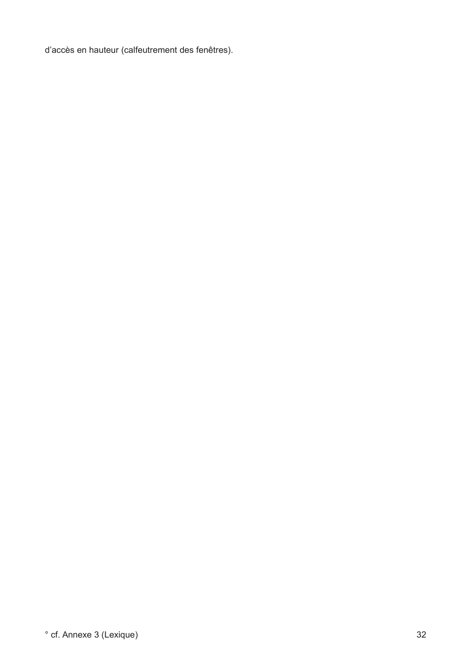d'accès en hauteur (calfeutrement des fenêtres).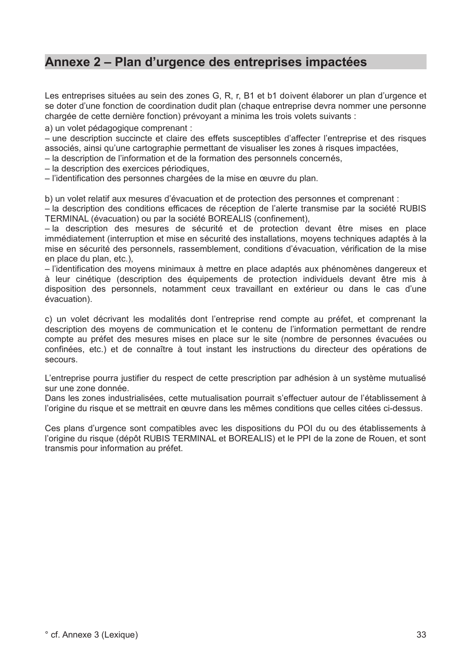## Annexe 2 – Plan d'urgence des entreprises impactées

Les entreprises situées au sein des zones G, R, r, B1 et b1 doivent élaborer un plan d'urgence et se doter d'une fonction de coordination dudit plan (chaque entreprise devra nommer une personne chargée de cette dernière fonction) prévoyant a minima les trois volets suivants :

a) un volet pédagogique comprenant :

- une description succincte et claire des effets susceptibles d'affecter l'entreprise et des risques associés, ainsi qu'une cartographie permettant de visualiser les zones à risques impactées.

- la description de l'information et de la formation des personnels concernés.

- la description des exercices périodiques,

- l'identification des personnes chargées de la mise en œuvre du plan.

b) un volet relatif aux mesures d'évacuation et de protection des personnes et comprenant :

- la description des conditions efficaces de réception de l'alerte transmise par la société RUBIS TERMINAL (évacuation) ou par la société BOREALIS (confinement).

- la description des mesures de sécurité et de protection devant être mises en place immédiatement (interruption et mise en sécurité des installations, moyens techniques adaptés à la mise en sécurité des personnels, rassemblement, conditions d'évacuation, vérification de la mise en place du plan, etc.),

- l'identification des movens minimaux à mettre en place adaptés aux phénomènes dangereux et à leur cinétique (description des équipements de protection individuels devant être mis à disposition des personnels, notamment ceux travaillant en extérieur ou dans le cas d'une évacuation).

c) un volet décrivant les modalités dont l'entreprise rend compte au préfet, et comprenant la description des moyens de communication et le contenu de l'information permettant de rendre compte au préfet des mesures mises en place sur le site (nombre de personnes évacuées ou confinées, etc.) et de connaître à tout instant les instructions du directeur des opérations de secours.

L'entreprise pourra justifier du respect de cette prescription par adhésion à un système mutualisé sur une zone donnée.

Dans les zones industrialisées, cette mutualisation pourrait s'effectuer autour de l'établissement à l'origine du risque et se mettrait en œuvre dans les mêmes conditions que celles citées ci-dessus.

Ces plans d'urgence sont compatibles avec les dispositions du POI du ou des établissements à l'origine du risque (dépôt RUBIS TERMINAL et BOREALIS) et le PPI de la zone de Rouen, et sont transmis pour information au préfet.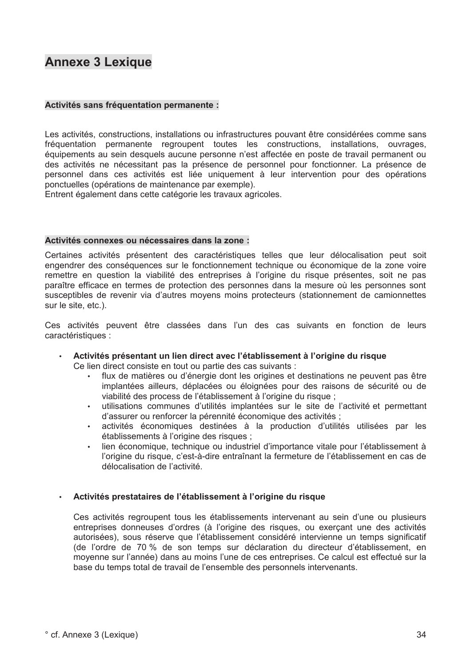## **Annexe 3 Lexique**

#### Activités sans fréquentation permanente :

Les activités, constructions, installations ou infrastructures pouvant être considérées comme sans fréquentation permanente regroupent toutes les constructions, installations, ouvrages, équipements au sein desquels aucune personne n'est affectée en poste de travail permanent ou des activités ne nécessitant pas la présence de personnel pour fonctionner. La présence de personnel dans ces activités est liée uniquement à leur intervention pour des opérations ponctuelles (opérations de maintenance par exemple).

Entrent également dans cette catégorie les travaux agricoles.

#### Activités connexes ou nécessaires dans la zone :

Certaines activités présentent des caractéristiques telles que leur délocalisation peut soit engendrer des conséquences sur le fonctionnement technique ou économique de la zone voire remettre en question la viabilité des entreprises à l'origine du risque présentes, soit ne pas paraître efficace en termes de protection des personnes dans la mesure où les personnes sont susceptibles de revenir via d'autres moyens moins protecteurs (stationnement de camionnettes sur le site, etc.).

Ces activités peuvent être classées dans l'un des cas suivants en fonction de leurs caractéristiques :

Activités présentant un lien direct avec l'établissement à l'origine du risque

Ce lien direct consiste en tout ou partie des cas suivants :

- flux de matières ou d'énergie dont les origines et destinations ne peuvent pas être implantées ailleurs, déplacées ou éloignées pour des raisons de sécurité ou de viabilité des process de l'établissement à l'origine du risque ;
- utilisations communes d'utilités implantées sur le site de l'activité et permettant d'assurer ou renforcer la pérennité économique des activités :
- activités économiques destinées à la production d'utilités utilisées par les établissements à l'origine des risques ;
- lien économique, technique ou industriel d'importance vitale pour l'établissement à l'origine du risque, c'est-à-dire entraînant la fermeture de l'établissement en cas de délocalisation de l'activité.

#### · Activités prestataires de l'établissement à l'origine du risque

Ces activités regroupent tous les établissements intervenant au sein d'une ou plusieurs entreprises donneuses d'ordres (à l'origine des risques, ou exercant une des activités autorisées), sous réserve que l'établissement considéré intervienne un temps significatif (de l'ordre de 70 % de son temps sur déclaration du directeur d'établissement, en moyenne sur l'année) dans au moins l'une de ces entreprises. Ce calcul est effectué sur la base du temps total de travail de l'ensemble des personnels intervenants.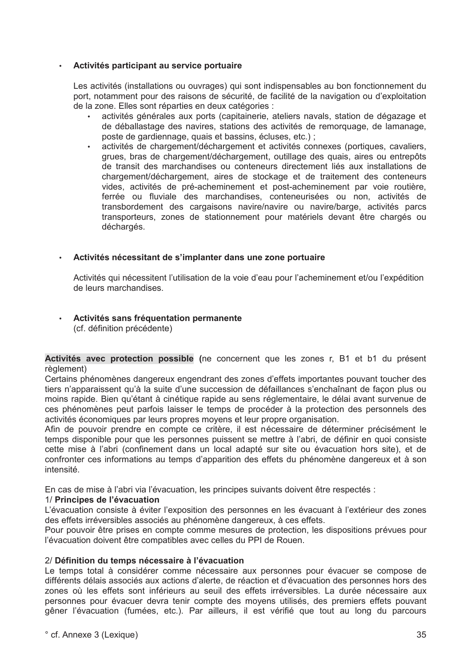#### Activités participant au service portuaire  $\bullet$

Les activités (installations ou ouvrages) qui sont indispensables au bon fonctionnement du port, notamment pour des raisons de sécurité, de facilité de la navigation ou d'exploitation de la zone. Elles sont réparties en deux catégories :

- activités générales aux ports (capitainerie, ateliers navals, station de dégazage et de déballastage des navires, stations des activités de remorquage, de lamanage, poste de gardiennage, quais et bassins, écluses, etc.) ;
- activités de chargement/déchargement et activités connexes (portiques, cavaliers, grues, bras de chargement/déchargement, outillage des guais, aires ou entrepôts de transit des marchandises ou conteneurs directement liés aux installations de chargement/déchargement, aires de stockage et de traitement des conteneurs vides, activités de pré-acheminement et post-acheminement par voie routière, ferrée ou fluviale des marchandises, conteneurisées ou non, activités de transbordement des cargaisons navire/navire ou navire/barge, activités parcs transporteurs, zones de stationnement pour matériels devant être chargés ou déchargés.

### · Activités nécessitant de s'implanter dans une zone portuaire

Activités qui nécessitent l'utilisation de la voie d'eau pour l'acheminement et/ou l'expédition de leurs marchandises.

#### · Activités sans fréquentation permanente (cf. définition précédente)

Activités avec protection possible (ne concernent que les zones r, B1 et b1 du présent règlement)

Certains phénomènes dangereux engendrant des zones d'effets importantes pouvant toucher des tiers n'apparaissent qu'à la suite d'une succession de défaillances s'enchaînant de facon plus ou moins rapide. Bien qu'étant à cinétique rapide au sens réglementaire, le délai avant survenue de ces phénomènes peut parfois laisser le temps de procéder à la protection des personnels des activités économiques par leurs propres moyens et leur propre organisation.

Afin de pouvoir prendre en compte ce critère, il est nécessaire de déterminer précisément le temps disponible pour que les personnes puissent se mettre à l'abri, de définir en quoi consiste cette mise à l'abri (confinement dans un local adapté sur site ou évacuation hors site), et de confronter ces informations au temps d'apparition des effets du phénomène dangereux et à son intensité.

En cas de mise à l'abri via l'évacuation, les principes suivants doivent être respectés :

## 1/ Principes de l'évacuation

L'évacuation consiste à éviter l'exposition des personnes en les évacuant à l'extérieur des zones des effets irréversibles associés au phénomène dangereux, à ces effets.

Pour pouvoir être prises en compte comme mesures de protection, les dispositions prévues pour l'évacuation doivent être compatibles avec celles du PPI de Rouen.

#### 2/ Définition du temps nécessaire à l'évacuation

Le temps total à considérer comme nécessaire aux personnes pour évacuer se compose de différents délais associés aux actions d'alerte, de réaction et d'évacuation des personnes hors des zones où les effets sont inférieurs au seuil des effets irréversibles. La durée nécessaire aux personnes pour évacuer devra tenir compte des moyens utilisés, des premiers effets pouvant gêner l'évacuation (fumées, etc.). Par ailleurs, il est vérifié que tout au long du parcours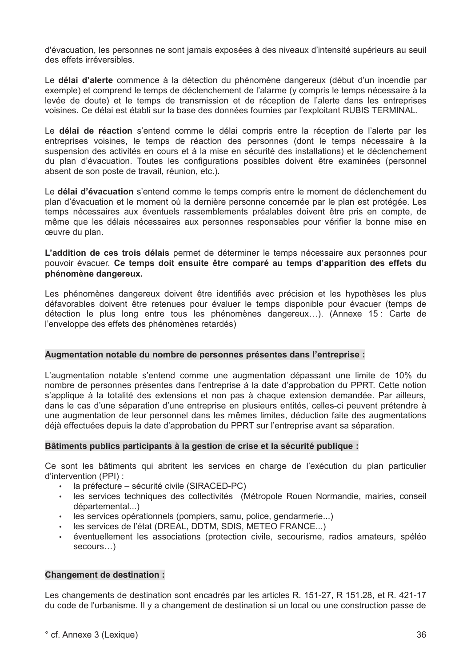d'évacuation, les personnes ne sont jamais exposées à des niveaux d'intensité supérieurs au seuil des effets irréversibles.

Le délai d'alerte commence à la détection du phénomène dangereux (début d'un incendie par exemple) et comprend le temps de déclenchement de l'alarme (y compris le temps nécessaire à la levée de doute) et le temps de transmission et de réception de l'alerte dans les entreprises voisines. Ce délai est établi sur la base des données fournies par l'exploitant RUBIS TERMINAL.

Le délai de réaction s'entend comme le délai compris entre la réception de l'alerte par les entreprises voisines, le temps de réaction des personnes (dont le temps nécessaire à la suspension des activités en cours et à la mise en sécurité des installations) et le déclenchement du plan d'évacuation. Toutes les configurations possibles doivent être examinées (personnel absent de son poste de travail, réunion, etc.).

Le délai d'évacuation s'entend comme le temps compris entre le moment de déclenchement du plan d'évacuation et le moment où la dernière personne concernée par le plan est protégée. Les temps nécessaires aux éventuels rassemblements préalables doivent être pris en compte, de même que les délais nécessaires aux personnes responsables pour vérifier la bonne mise en œuvre du plan.

L'addition de ces trois délais permet de déterminer le temps nécessaire aux personnes pour pouvoir évacuer. Ce temps doit ensuite être comparé au temps d'apparition des effets du phénomène dangereux.

Les phénomènes dangereux doivent être identifiés avec précision et les hypothèses les plus défavorables doivent être retenues pour évaluer le temps disponible pour évacuer (temps de détection le plus long entre tous les phénomènes dangereux...). (Annexe 15 : Carte de l'enveloppe des effets des phénomènes retardés)

#### Augmentation notable du nombre de personnes présentes dans l'entreprise :

L'augmentation notable s'entend comme une augmentation dépassant une limite de 10% du nombre de personnes présentes dans l'entreprise à la date d'approbation du PPRT. Cette notion s'applique à la totalité des extensions et non pas à chaque extension demandée. Par ailleurs, dans le cas d'une séparation d'une entreprise en plusieurs entités, celles-ci peuvent prétendre à une augmentation de leur personnel dans les mêmes limites, déduction faite des augmentations déjà effectuées depuis la date d'approbation du PPRT sur l'entreprise avant sa séparation.

#### Bâtiments publics participants à la gestion de crise et la sécurité publique :

Ce sont les bâtiments qui abritent les services en charge de l'exécution du plan particulier d'intervention (PPI) :

- $\cdot$  la préfecture sécurité civile (SIRACED-PC)
- · les services techniques des collectivités (Métropole Rouen Normandie, mairies, conseil départemental...)
- · les services opérationnels (pompiers, samu, police, gendarmerie...)
- les services de l'état (DREAL, DDTM, SDIS, METEO FRANCE...)
- éventuellement les associations (protection civile, secourisme, radios amateurs, spéléo  $secours...$ )

#### **Changement de destination:**

Les changements de destination sont encadrés par les articles R. 151-27, R 151.28, et R. 421-17 du code de l'urbanisme. Il y a changement de destination si un local ou une construction passe de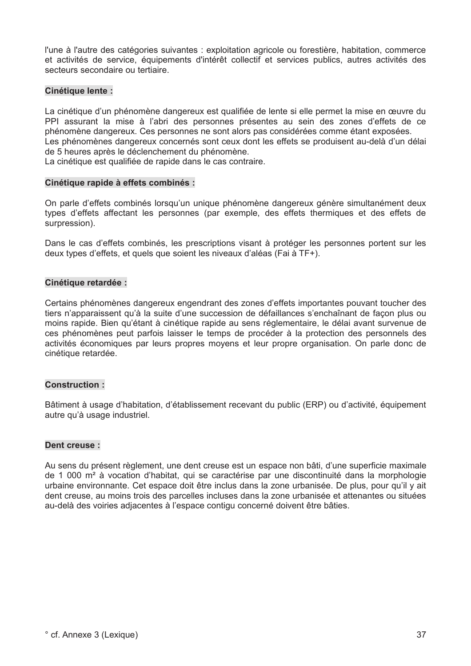l'une à l'autre des catégories suivantes : exploitation agricole ou forestière, habitation, commerce et activités de service, équipements d'intérêt collectif et services publics, autres activités des secteurs secondaire ou tertiaire.

#### Cinétique lente :

La cinétique d'un phénomène dangereux est qualifiée de lente si elle permet la mise en œuvre du PPI assurant la mise à l'abri des personnes présentes au sein des zones d'effets de ce phénomène dangereux. Ces personnes ne sont alors pas considérées comme étant exposées. Les phénomènes dangereux concernés sont ceux dont les effets se produisent au-delà d'un délai de 5 heures après le déclenchement du phénomène.

La cinétique est qualifiée de rapide dans le cas contraire.

#### Cinétique rapide à effets combinés :

On parle d'effets combinés lorsqu'un unique phénomène dangereux génère simultanément deux types d'effets affectant les personnes (par exemple, des effets thermiques et des effets de surpression).

Dans le cas d'effets combinés, les prescriptions visant à protéger les personnes portent sur les deux types d'effets, et quels que soient les niveaux d'aléas (Fai à TF+).

#### Cinétique retardée :

Certains phénomènes dangereux engendrant des zones d'effets importantes pouvant toucher des tiers n'apparaissent qu'à la suite d'une succession de défaillances s'enchaînant de facon plus ou moins rapide. Bien qu'étant à cinétique rapide au sens réglementaire, le délai avant survenue de ces phénomènes peut parfois laisser le temps de procéder à la protection des personnels des activités économiques par leurs propres moyens et leur propre organisation. On parle donc de cinétique retardée.

#### **Construction:**

Bâtiment à usage d'habitation, d'établissement recevant du public (ERP) ou d'activité, équipement autre qu'à usage industriel.

#### Dent creuse:

Au sens du présent règlement, une dent creuse est un espace non bâti, d'une superficie maximale de 1 000 m<sup>2</sup> à vocation d'habitat, qui se caractérise par une discontinuité dans la morphologie urbaine environnante. Cet espace doit être inclus dans la zone urbanisée. De plus, pour qu'il y ait dent creuse, au moins trois des parcelles incluses dans la zone urbanisée et attenantes ou situées au-delà des voiries adjacentes à l'espace contigu concerné doivent être bâties.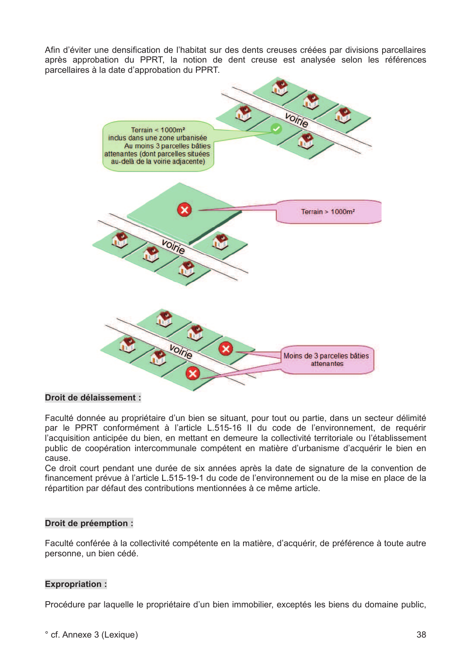Afin d'éviter une densification de l'habitat sur des dents creuses créées par divisions parcellaires après approbation du PPRT. la notion de dent creuse est analysée selon les références parcellaires à la date d'approbation du PPRT.



#### Droit de délaissement :

Faculté donnée au propriétaire d'un bien se situant, pour tout ou partie, dans un secteur délimité par le PPRT conformément à l'article L.515-16 II du code de l'environnement, de requérir l'acquisition anticipée du bien, en mettant en demeure la collectivité territoriale ou l'établissement public de coopération intercommunale compétent en matière d'urbanisme d'acquérir le bien en cause.

Ce droit court pendant une durée de six années après la date de signature de la convention de financement prévue à l'article L.515-19-1 du code de l'environnement ou de la mise en place de la répartition par défaut des contributions mentionnées à ce même article.

#### Droit de préemption :

Faculté conférée à la collectivité compétente en la matière, d'acquérir, de préférence à toute autre personne, un bien cédé.

#### **Expropriation:**

Procédure par laquelle le propriétaire d'un bien immobilier, exceptés les biens du domaine public,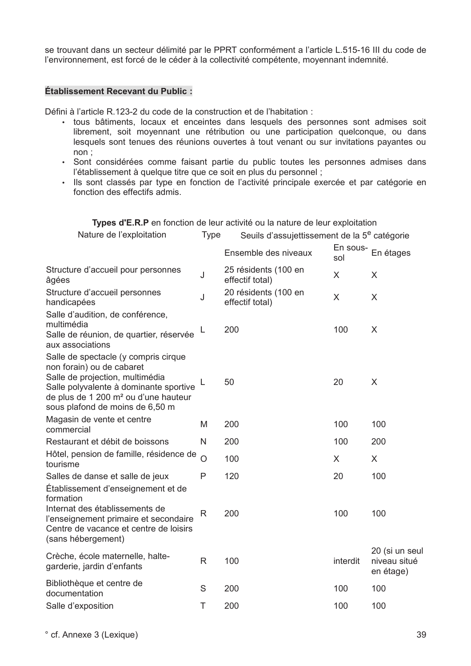se trouvant dans un secteur délimité par le PPRT conformément a l'article L.515-16 III du code de l'environnement, est forcé de le céder à la collectivité compétente, movennant indemnité,

#### Établissement Recevant du Public :

Défini à l'article R.123-2 du code de la construction et de l'habitation :

- tous bâtiments, locaux et enceintes dans lesquels des personnes sont admises soit librement, soit moyennant une rétribution ou une participation quelconque, ou dans lesquels sont tenues des réunions ouvertes à tout venant ou sur invitations payantes ou  $non:$
- · Sont considérées comme faisant partie du public toutes les personnes admises dans l'établissement à quelque titre que ce soit en plus du personnel ;
- · Ils sont classés par type en fonction de l'activité principale exercée et par catégorie en fonction des effectifs admis.

Types d'E.R.P en fonction de leur activité ou la nature de leur exploitation

| Nature de l'exploitation                                                                                                                                                                                                              | <b>Type</b><br>Seuils d'assujettissement de la 5 <sup>e</sup> catégorie |                                         |          |                                             |
|---------------------------------------------------------------------------------------------------------------------------------------------------------------------------------------------------------------------------------------|-------------------------------------------------------------------------|-----------------------------------------|----------|---------------------------------------------|
|                                                                                                                                                                                                                                       |                                                                         | Ensemble des niveaux                    | sol      | En sous- En étages                          |
| Structure d'accueil pour personnes<br>âgées                                                                                                                                                                                           | J                                                                       | 25 résidents (100 en<br>effectif total) | X        | X                                           |
| Structure d'accueil personnes<br>handicapées                                                                                                                                                                                          | J                                                                       | 20 résidents (100 en<br>effectif total) | X        | $\sf X$                                     |
| Salle d'audition, de conférence,<br>multimédia<br>Salle de réunion, de quartier, réservée<br>aux associations                                                                                                                         | L                                                                       | 200                                     | 100      | X                                           |
| Salle de spectacle (y compris cirque<br>non forain) ou de cabaret<br>Salle de projection, multimédia<br>Salle polyvalente à dominante sportive<br>de plus de 1 200 m <sup>2</sup> ou d'une hauteur<br>sous plafond de moins de 6,50 m |                                                                         | 50                                      | 20       | X                                           |
| Magasin de vente et centre<br>commercial                                                                                                                                                                                              | M                                                                       | 200                                     | 100      | 100                                         |
| Restaurant et débit de boissons                                                                                                                                                                                                       | N                                                                       | 200                                     | 100      | 200                                         |
| Hôtel, pension de famille, résidence de<br>tourisme                                                                                                                                                                                   | $\overline{O}$                                                          | 100                                     | X        | X                                           |
| Salles de danse et salle de jeux<br>Établissement d'enseignement et de<br>formation                                                                                                                                                   | Ρ                                                                       | 120                                     | 20       | 100                                         |
| Internat des établissements de<br>l'enseignement primaire et secondaire<br>Centre de vacance et centre de loisirs<br>(sans hébergement)                                                                                               | R                                                                       | 200                                     | 100      | 100                                         |
| Crèche, école maternelle, halte-<br>garderie, jardin d'enfants                                                                                                                                                                        | R.                                                                      | 100                                     | interdit | 20 (si un seul<br>niveau situé<br>en étage) |
| Bibliothèque et centre de<br>documentation                                                                                                                                                                                            | S                                                                       | 200                                     | 100      | 100                                         |
| Salle d'exposition                                                                                                                                                                                                                    | Τ                                                                       | 200                                     | 100      | 100                                         |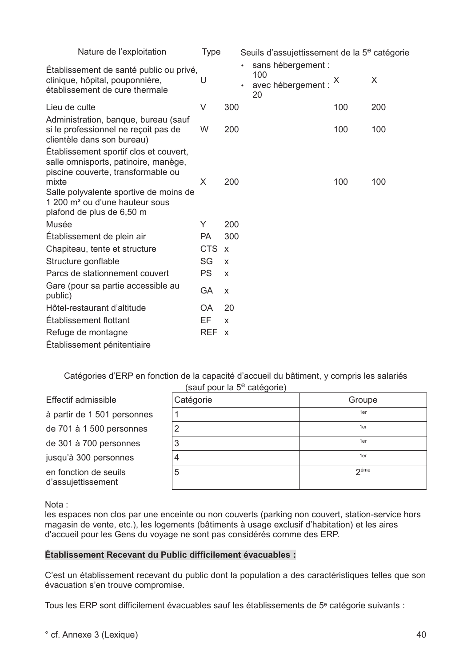| Nature de l'exploitation                                                                                                   | <b>Type</b> |                           |           | Seuils d'assujettissement de la 5 <sup>e</sup> catégorie  |     |     |
|----------------------------------------------------------------------------------------------------------------------------|-------------|---------------------------|-----------|-----------------------------------------------------------|-----|-----|
| Établissement de santé public ou privé,<br>clinique, hôpital, pouponnière,<br>établissement de cure thermale               | U           |                           | $\bullet$ | sans hébergement :<br>100<br>avec hébergement : $X$<br>20 |     | X   |
| Lieu de culte                                                                                                              | V           | 300                       |           |                                                           | 100 | 200 |
| Administration, banque, bureau (sauf<br>si le professionnel ne reçoit pas de<br>clientèle dans son bureau)                 | W           | 200                       |           |                                                           | 100 | 100 |
| Établissement sportif clos et couvert,<br>salle omnisports, patinoire, manège,<br>piscine couverte, transformable ou       |             |                           |           |                                                           |     |     |
| mixte<br>Salle polyvalente sportive de moins de<br>1 200 m <sup>2</sup> ou d'une hauteur sous<br>plafond de plus de 6,50 m | X           | 200                       |           |                                                           | 100 | 100 |
| Musée                                                                                                                      | Y           | 200                       |           |                                                           |     |     |
| Établissement de plein air                                                                                                 | PA          | 300                       |           |                                                           |     |     |
| Chapiteau, tente et structure                                                                                              | <b>CTS</b>  | $\mathsf{x}$              |           |                                                           |     |     |
| Structure gonflable                                                                                                        | SG          | X                         |           |                                                           |     |     |
| Parcs de stationnement couvert                                                                                             | <b>PS</b>   | X                         |           |                                                           |     |     |
| Gare (pour sa partie accessible au<br>public)                                                                              | GA          | X                         |           |                                                           |     |     |
| Hôtel-restaurant d'altitude                                                                                                | <b>OA</b>   | 20                        |           |                                                           |     |     |
| Établissement flottant                                                                                                     | EF          | X                         |           |                                                           |     |     |
| Refuge de montagne                                                                                                         | <b>REF</b>  | $\boldsymbol{\mathsf{X}}$ |           |                                                           |     |     |
| Établissement pénitentiaire                                                                                                |             |                           |           |                                                           |     |     |

Catégories d'ERP en fonction de la capacité d'accueil du bâtiment, y compris les salariés  $(sail function)$  (sauf nour la  $5<sup>e</sup>$  catégorie)

|                                             | $\frac{1}{2}$ |                  |
|---------------------------------------------|---------------|------------------|
| <b>Effectif admissible</b>                  | Catégorie     | Groupe           |
| à partir de 1 501 personnes                 |               | 1er              |
| de 701 à 1 500 personnes                    | 2             | 1er              |
| de 301 à 700 personnes                      | 3             | 1er              |
| jusqu'à 300 personnes                       |               | 1er              |
| en fonction de seuils<br>d'assujettissement | 5             | 2 <sup>éme</sup> |

Nota:

les espaces non clos par une enceinte ou non couverts (parking non couvert, station-service hors magasin de vente, etc.), les logements (bâtiments à usage exclusif d'habitation) et les aires d'accueil pour les Gens du voyage ne sont pas considérés comme des ERP.

#### Établissement Recevant du Public difficilement évacuables :

C'est un établissement recevant du public dont la population a des caractéristiques telles que son évacuation s'en trouve compromise.

Tous les ERP sont difficilement évacuables sauf les établissements de 5<sup>e</sup> catégorie suivants :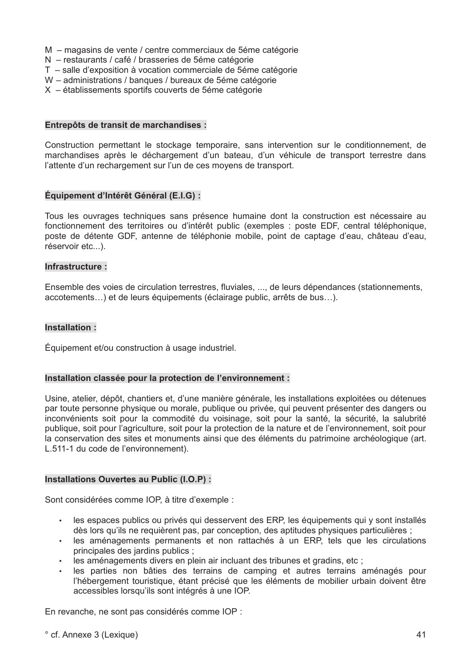- M magasins de vente / centre commerciaux de 5éme catégorie
- N restaurants / café / brasseries de 5éme catégorie
- T salle d'exposition à vocation commerciale de 5éme catégorie
- W administrations / banques / bureaux de 5éme catégorie
- X établissements sportifs couverts de 5éme catégorie

#### Entrepôts de transit de marchandises :

Construction permettant le stockage temporaire, sans intervention sur le conditionnement, de marchandises après le déchargement d'un bateau, d'un véhicule de transport terrestre dans l'attente d'un rechargement sur l'un de ces moyens de transport.

#### Équipement d'Intérêt Général (E.I.G) :

Tous les ouvrages techniques sans présence humaine dont la construction est nécessaire au fonctionnement des territoires ou d'intérêt public (exemples : poste EDF, central téléphonique, poste de détente GDF, antenne de téléphonie mobile, point de captage d'eau, château d'eau, réservoir etc...).

#### Infrastructure:

Ensemble des voies de circulation terrestres, fluviales, ..., de leurs dépendances (stationnements, accotements...) et de leurs équipements (éclairage public, arrêts de bus...).

#### Installation:

Équipement et/ou construction à usage industriel.

#### Installation classée pour la protection de l'environnement :

Usine, atelier, dépôt, chantiers et, d'une manière générale, les installations exploitées ou détenues par toute personne physique ou morale, publique ou privée, qui peuvent présenter des dangers ou inconvénients soit pour la commodité du voisinage, soit pour la santé, la sécurité, la salubrité publique, soit pour l'agriculture, soit pour la protection de la nature et de l'environnement, soit pour la conservation des sites et monuments ainsi que des éléments du patrimoine archéologique (art. L.511-1 du code de l'environnement).

#### Installations Ouvertes au Public (I.O.P) :

Sont considérées comme IOP, à titre d'exemple :

- les espaces publics ou privés qui desservent des ERP, les équipements qui y sont installés  $\bullet$  . dès lors qu'ils ne requièrent pas, par conception, des aptitudes physiques particulières ;
- $\bullet$  . les aménagements permanents et non rattachés à un ERP, tels que les circulations principales des jardins publics ;
- les aménagements divers en plein air incluant des tribunes et gradins, etc ;
- les parties non bâties des terrains de camping et autres terrains aménagés pour l'hébergement touristique, étant précisé que les éléments de mobilier urbain doivent être accessibles lorsqu'ils sont intégrés à une IOP.

En revanche, ne sont pas considérés comme IOP :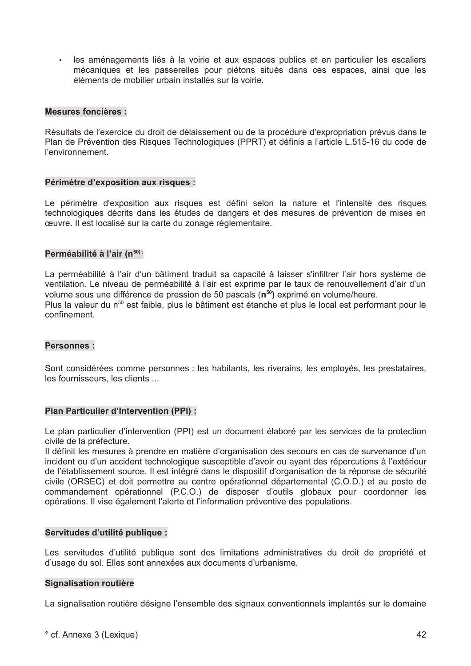· les aménagements liés à la voirie et aux espaces publics et en particulier les escaliers mécaniques et les passerelles pour piétons situés dans ces espaces, ainsi que les éléments de mobilier urbain installés sur la voirie.

#### **Mesures foncières:**

Résultats de l'exercice du droit de délaissement ou de la procédure d'expropriation prévus dans le Plan de Prévention des Risques Technologiques (PPRT) et définis a l'article L.515-16 du code de l'environnement.

#### Périmètre d'exposition aux risques :

Le périmètre d'exposition aux risques est défini selon la nature et l'intensité des risques technologiques décrits dans les études de dangers et des mesures de prévention de mises en ceuvre. Il est localisé sur la carte du zonage réglementaire.

#### Perméabilité à l'air (n<sup>50):</sup>

La perméabilité à l'air d'un bâtiment traduit sa capacité à laisser s'infiltrer l'air hors système de ventilation. Le niveau de perméabilité à l'air est exprime par le taux de renouvellement d'air d'un volume sous une différence de pression de 50 pascals (n<sup>50</sup>) exprimé en volume/heure. Plus la valeur du n<sup>50</sup> est faible, plus le bâtiment est étanche et plus le local est performant pour le confinement.

#### **Personnes:**

Sont considérées comme personnes : les habitants, les riverains, les employés, les prestataires, les fournisseurs, les clients ...

#### Plan Particulier d'Intervention (PPI) :

Le plan particulier d'intervention (PPI) est un document élaboré par les services de la protection civile de la préfecture.

Il définit les mesures à prendre en matière d'organisation des secours en cas de survenance d'un incident ou d'un accident technologique susceptible d'avoir ou ayant des répercutions à l'extérieur de l'établissement source. Il est intégré dans le dispositif d'organisation de la réponse de sécurité civile (ORSEC) et doit permettre au centre opérationnel départemental (C.O.D.) et au poste de commandement opérationnel (P.C.O.) de disposer d'outils globaux pour coordonner les opérations. Il vise également l'alerte et l'information préventive des populations.

#### Servitudes d'utilité publique :

Les servitudes d'utilité publique sont des limitations administratives du droit de propriété et d'usage du sol. Elles sont annexées aux documents d'urbanisme.

#### **Signalisation routière**

La signalisation routière désigne l'ensemble des signaux conventionnels implantés sur le domaine